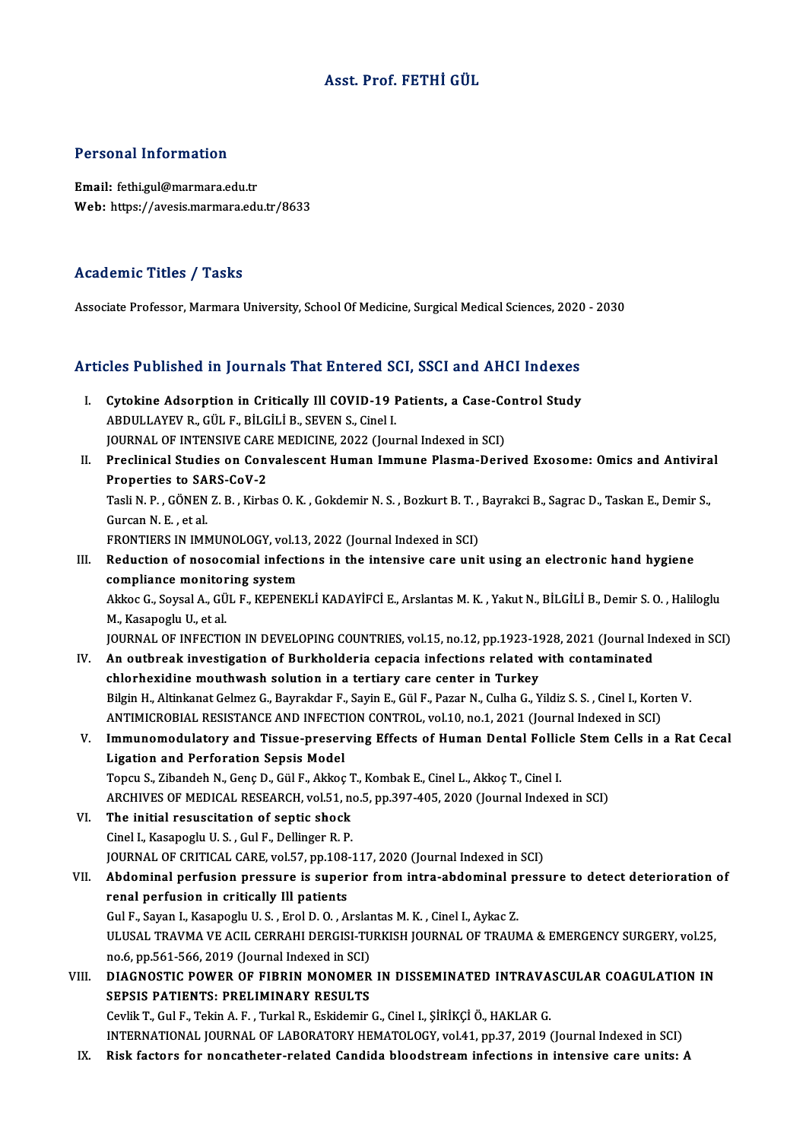## Asst. Prof. FETHİ GÜL

### Personal Information

Email: fethi.gul@marmara.edu.tr Web: https://avesis.marmara.edu.tr/8633

### Academic Titles / Tasks

Associate Professor, Marmara University, School Of Medicine, Surgical Medical Sciences, 2020 - 2030

# Associate Professor, Marmara University, School Of Medicine, Surgical Medical Sciences, 2020<br>Articles Published in Journals That Entered SCI, SSCI and AHCI Indexes

- rticles Published in Journals That Entered SCI, SSCI and AHCI Indexes<br>I. Cytokine Adsorption in Critically Ill COVID-19 Patients, a Case-Control Study<br>APDULLAYEV B. CÜLE RILCULE SEVENS, Grol L ABDULLAYEV R., GÜL F., BİLGİLİ B., SEVEN S., Cinel I.<br>ABDULLAYEV R., GÜL F., BİLGİLİ B., SEVEN S., Cinel I.<br>IQUBNAL OE INTENSIVE CARE MEDICINE 2022 (Lou Cytokine Adsorption in Critically Ill COVID-19 Patients, a Case-Co<br>ABDULLAYEV R., GÜL F., BİLGİLİ B., SEVEN S., Cinel I.<br>JOURNAL OF INTENSIVE CARE MEDICINE, 2022 (Journal Indexed in SCI)<br>Preslinisal Studies en Convalessant ABDULLAYEV R., GÜL F., BİLGİLİ B., SEVEN S., Cinel I.<br>JOURNAL OF INTENSIVE CARE MEDICINE, 2022 (Journal Indexed in SCI)<br>II. Preclinical Studies on Convalescent Human Immune Plasma-Derived Exosome: Omics and Antiviral JOURNAL OF INTENSIVE CARE MEDICINE, 2022 (Journal Indexed in SCI)
- Preclinical Studies on Convalescent Human Immune Plasma-Derived Exosome: Omics and Antivira<br>Properties to SARS-CoV-2<br>Tasli N. P. , GÖNEN Z. B. , Kirbas O. K. , Gokdemir N. S. , Bozkurt B. T. , Bayrakci B., Sagrac D., Taska Properties to SARS-CoV-2<br>Tasli N. P. , GÖNEN Z. B. , Kirbas O. K. , Gokdemir N. S. , Bozkurt B. T. ,<br>Gurcan N. E. , et al.<br>FRONTIERS IN IMMUNOLOGY, vol.13, 2022 (Journal Indexed in SCI) Tasli N. P. , GÖNEN Z. B. , Kirbas O. K. , Gokdemir N. S. , Bozkurt B. T. ,<br>Gurcan N. E. , et al.<br>FRONTIERS IN IMMUNOLOGY, vol.13, 2022 (Journal Indexed in SCI)<br>Pedustion of nossessminl infections in the intensive sans uni

Gurcan N. E. , et al.<br>FRONTIERS IN IMMUNOLOGY, vol.13, 2022 (Journal Indexed in SCI)<br>III. Reduction of nosocomial infections in the intensive care unit using an electronic hand hygiene<br>compliance monitoring system FRONTIERS IN IMMUNOLOGY, vol.1<br>Reduction of nosocomial infection<br>compliance monitoring system<br>Akkos C. Sovgal A. CÜLE, KEPENEL Reduction of nosocomial infections in the intensive care unit using an electronic hand hygiene<br>compliance monitoring system<br>Akkoc G., Soysal A., GÜL F., KEPENEKLİ KADAYİFCİ E., Arslantas M. K. , Yakut N., BİLGİLİ B., Demir compliance monitor<br>Akkoc G., Soysal A., GÜ<br>M., Kasapoglu U., et al.<br>JOUPNAL OF INEECTI Akkoc G., Soysal A., GÜL F., KEPENEKLİ KADAYİFCİ E., Arslantas M. K. , Yakut N., BİLGİLİ B., Demir S. O. , Haliloglu<br>M., Kasapoglu U., et al.<br>JOURNAL OF INFECTION IN DEVELOPING COUNTRIES, vol.15, no.12, pp.1923-1928, 2021 M., Kasapoglu U., et al.<br>JOURNAL OF INFECTION IN DEVELOPING COUNTRIES, vol.15, no.12, pp.1923-1928, 2021 (Journal In<br>IV. An outbreak investigation of Burkholderia cepacia infections related with contaminated<br>chlorboviding

- JOURNAL OF INFECTION IN DEVELOPING COUNTRIES, vol.15, no.12, pp.1923-19<br>An outbreak investigation of Burkholderia cepacia infections related v<br>chlorhexidine mouthwash solution in a tertiary care center in Turkey<br>Bilgin H. An outbreak investigation of Burkholderia cepacia infections related with contaminated<br>chlorhexidine mouthwash solution in a tertiary care center in Turkey<br>Bilgin H., Altinkanat Gelmez G., Bayrakdar F., Sayin E., Gül F., P chlorhexidine mouthwash solution in a tertiary care center in Turkey<br>Bilgin H., Altinkanat Gelmez G., Bayrakdar F., Sayin E., Gül F., Pazar N., Culha G., Yildiz S. S. , Cinel I., Kort<br>ANTIMICROBIAL RESISTANCE AND INFECTION
- Bilgin H., Altinkanat Gelmez G., Bayrakdar F., Sayin E., Gül F., Pazar N., Culha G., Yildiz S. S. , Cinel I., Korten V.<br>ANTIMICROBIAL RESISTANCE AND INFECTION CONTROL, vol.10, no.1, 2021 (Journal Indexed in SCI)<br>V. Immunom ANTIMICROBIAL RESISTANCE AND INFECT<br>Immunomodulatory and Tissue-preser<br>Ligation and Perforation Sepsis Model<br>Tongy S. Zibandab N. Gana D. Gül E. Alisas Topcu S., Zibandeh N., Genç D., Gül F., Akkoç T., Kombak E., Cinel L., Akkoç T., Cinel I. ARCHIVES OF MEDICAL RESEARCH, vol.51, no.5, pp.397-405, 2020 (Journal Indexed in SCI)
- VI. The initial resuscitation of septic shock Cinel I., Kasapoglu U.S., Gul F., Dellinger R.P. The initial resuscitation of septic shock<br>Cinel I., Kasapoglu U. S. , Gul F., Dellinger R. P.<br>JOURNAL OF CRITICAL CARE, vol.57, pp.108-117, 2020 (Journal Indexed in SCI)<br>Abdominal perfusion pressure is superior from intre
- Cinel I., Kasapoglu U. S. , Gul F., Dellinger R. P.<br>JOURNAL OF CRITICAL CARE, vol.57, pp.108-117, 2020 (Journal Indexed in SCI)<br>VII. Abdominal perfusion pressure is superior from intra-abdominal pressure to detect deterior FOURNAL OF CRITICAL CARE, vol.57, pp.108<br>Abdominal perfusion pressure is super<br>renal perfusion in critically Ill patients<br>Cul F. Savan L. Kasanoslu II. S., Erol D. O., A Abdominal perfusion pressure is superior from intra-abdominal p:<br>renal perfusion in critically Ill patients<br>Gul F., Sayan I., Kasapoglu U.S. , Erol D. O. , Arslantas M. K. , Cinel I., Aykac Z.<br>III USAL TRAVMA VE ACU, CERRA renal perfusion in critically Ill patients<br>Gul F., Sayan I., Kasapoglu U. S. , Erol D. O. , Arslantas M. K. , Cinel I., Aykac Z.<br>ULUSAL TRAVMA VE ACIL CERRAHI DERGISI-TURKISH JOURNAL OF TRAUMA & EMERGENCY SURGERY, vol.25,<br> Gul F., Sayan I., Kasapoglu U. S., Erol D. O., Arslantas M. K., Cinel I., Aykac Z. ULUSAL TRAVMA VE ACIL CERRAHI DERGISI-TURKISH JOURNAL OF TRAUMA & EMERGENCY SURGERY, vol.25,<br>no.6, pp.561-566, 2019 (Journal Indexed in SCI)<br>VIII. DIAGNOSTIC POWER OF FIBRIN MONOMER IN DISSEMINATED INTRAVASCULAR COAGULATIO
- no.6, pp.561-566, 2019 (Journal Indexed in SCI)<br>DIAGNOSTIC POWER OF FIBRIN MONOMER<br>SEPSIS PATIENTS: PRELIMINARY RESULTS<br>Caulik T. Cul E. Tokin A. E. Turkel B. Eskidamir SEPSIS PATIENTS: PRELIMINARY RESULTS<br>Cevlik T., Gul F., Tekin A. F. , Turkal R., Eskidemir G., Cinel I., ŞİRİKÇİ Ö., HAKLAR G. SEPSIS PATIENTS: PRELIMINARY RESULTS<br>Cevlik T., Gul F., Tekin A. F. , Turkal R., Eskidemir G., Cinel I., ŞİRİKÇİ Ö., HAKLAR G.<br>INTERNATIONAL JOURNAL OF LABORATORY HEMATOLOGY, vol.41, pp.37, 2019 (Journal Indexed in SCI)<br>Bi Cevlik T., Gul F., Tekin A. F. , Turkal R., Eskidemir G., Cinel I., ŞİRİKÇİ Ö., HAKLAR G.<br>INTERNATIONAL JOURNAL OF LABORATORY HEMATOLOGY, vol.41, pp.37, 2019 (Journal Indexed in SCI)<br>IX. Risk factors for noncatheter-re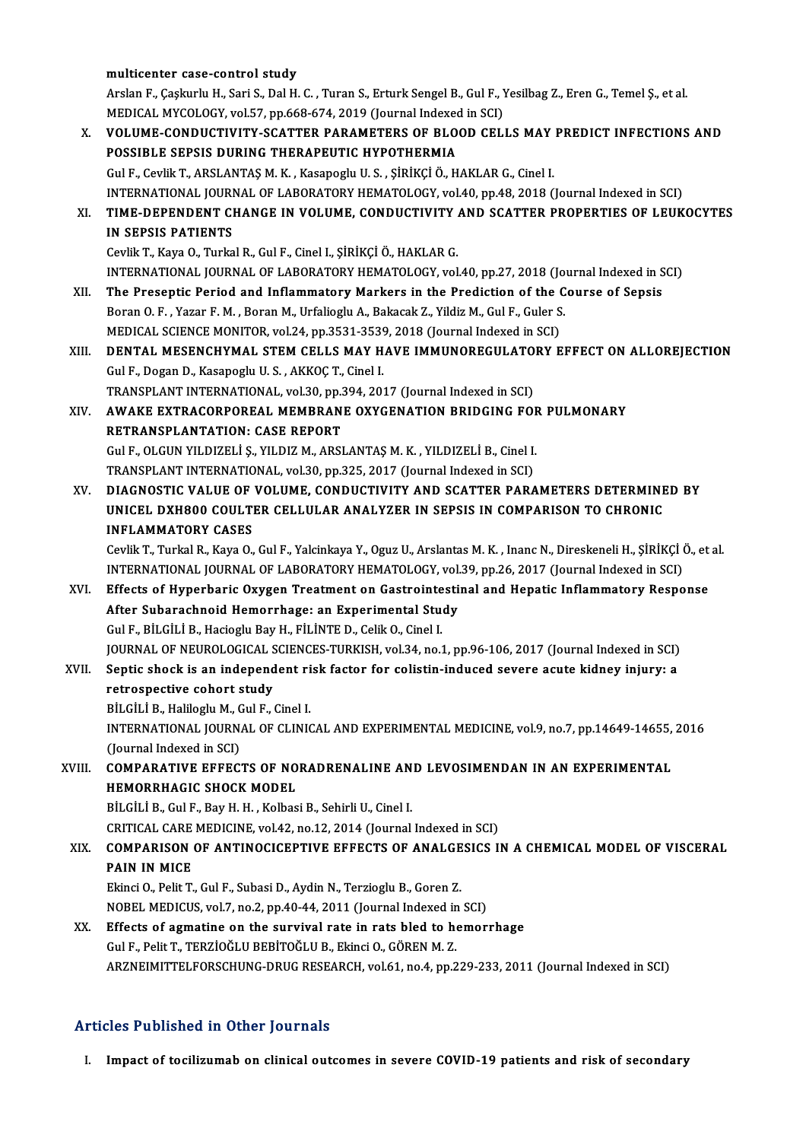### multicenter case-control study

multicenter case-control study<br>Arslan F., Çaşkurlu H., Sari S., Dal H. C. , Turan S., Erturk Sengel B., Gul F., Yesilbag Z., Eren G., Temel Ş., et al.<br>MEDICAL MYCOLOCY, vel 57. np 668,674,2010 (Journal Indexed in SCL) multicenter case-control study<br>Arslan F., Çaşkurlu H., Sari S., Dal H. C. , Turan S., Erturk Sengel B., Gul F., )<br>MEDICAL MYCOLOGY, vol.57, pp.668-674, 2019 (Journal Indexed in SCI)<br>VOLUME CONDUCTIVITY SCATTER RARAMETERS O MEDICAL MYCOLOGY, vol.57, pp.668-674, 2019 (Journal Indexed in SCI)

X. VOLUME-CONDUCTIVITY-SCATTER PARAMETERS OF BLOOD CELLS MAY PREDICT INFECTIONS AND<br>POSSIBLE SEPSIS DURING THERAPEUTIC HYPOTHERMIA GulF.,CevlikT.,ARSLANTAŞM.K. ,KasapogluU.S. ,ŞİRİKÇİÖ.,HAKLARG.,Cinel I. POSSIBLE SEPSIS DURING THERAPEUTIC HYPOTHERMIA<br>Gul F., Cevlik T., ARSLANTAŞ M. K. , Kasapoglu U. S. , ŞİRİKÇİ Ö., HAKLAR G., Cinel I.<br>INTERNATIONAL JOURNAL OF LABORATORY HEMATOLOGY, vol.40, pp.48, 2018 (Journal Indexed in Gul F., Cevlik T., ARSLANTAŞ M. K. , Kasapoglu U. S. , ŞİRİKÇİ Ö., HAKLAR G., Cinel I.<br>INTERNATIONAL JOURNAL OF LABORATORY HEMATOLOGY, vol.40, pp.48, 2018 (Journal Indexed in SCI)<br>XI. TIME-DEPENDENT CHANGE IN VOLUME, C INTERNATIONAL JOURI<br>TIME-DEPENDENT CI<br>IN SEPSIS PATIENTS<br>Covilis T. Kava O. Turka XI. TIME-DEPENDENT CHANGE IN VOLUME, CONDUCTIVITY AND SCATTER PROPERTIES OF LEUKOCYTES<br>IN SEPSIS PATIENTS<br>Cevlik T., Kaya O., Turkal R., Gul F., Cinel I., ŞİRİKÇİ Ö., HAKLAR G. IN SEPSIS PATIENTS<br>Cevlik T., Kaya O., Turkal R., Gul F., Cinel I., ŞİRİKÇİ Ö., HAKLAR G.<br>INTERNATIONAL JOURNAL OF LABORATORY HEMATOLOGY, vol.40, pp.27, 2018 (Journal Indexed in SCI)<br>The Presentis Period and Inflammatory M Cevlik T., Kaya O., Turkal R., Gul F., Cinel I., ŞİRİKÇİ Ö., HAKLAR G.<br>INTERNATIONAL JOURNAL OF LABORATORY HEMATOLOGY, vol.40, pp.27, 2018 (Journal Indexed in S<br>XII. The Preseptic Period and Inflammatory Markers in the The Preseptic Period and Inflammatory Markers in the Prediction of the Course of Sepsis<br>Boran O.F., Yazar F.M., Boran M., Urfalioglu A., Bakacak Z., Yildiz M., Gul F., Guler S. The Preseptic Period and Inflammatory Markers in the Prediction of the C<br>Boran O. F. , Yazar F. M. , Boran M., Urfalioglu A., Bakacak Z., Yildiz M., Gul F., Guler S<br>MEDICAL SCIENCE MONITOR, vol.24, pp.3531-3539, 2018 (Jour Boran O. F. , Yazar F. M. , Boran M., Urfalioglu A., Bakacak Z., Yildiz M., Gul F., Guler S.<br>MEDICAL SCIENCE MONITOR, vol.24, pp.3531-3539, 2018 (Journal Indexed in SCI)<br>XIII. DENTAL MESENCHYMAL STEM CELLS MAY HAVE IMMUNOR MEDICAL SCIENCE MONITOR, vol.24, pp.3531-3539<br>DENTAL MESENCHYMAL STEM CELLS MAY H.<br>Gul F., Dogan D., Kasapoglu U.S., AKKOÇT., Cinel I.<br>TRANSPLANT INTERNATIONAL .vol.20, pp.394-203 **DENTAL MESENCHYMAL STEM CELLS MAY HAVE IMMUNOREGULATO<br>Gul F., Dogan D., Kasapoglu U. S. , AKKOÇ T., Cinel I.<br>TRANSPLANT INTERNATIONAL, vol.30, pp.394, 2017 (Journal Indexed in SCI)<br>AWAKE EXTRACORPOREAL MEMPRANE OXYCENATIO** Gul F., Dogan D., Kasapoglu U. S. , AKKOÇ T., Cinel I.<br>TRANSPLANT INTERNATIONAL, vol.30, pp.394, 2017 (Journal Indexed in SCI)<br>XIV. AWAKE EXTRACORPOREAL MEMBRANE OXYGENATION BRIDGING FOR PULMONARY<br>RETRANSPLANTATION: CASE R TRANSPLANT INTERNATIONAL, vol.30, pp.394, 2017 (Journal Indexed in SCI) AWAKE EXTRACORPOREAL MEMBRANE OXYGENATION BRIDGING FOR<br>RETRANSPLANTATION: CASE REPORT<br>GulF., OLGUN YILDIZELİ Ş., YILDIZ M., ARSLANTAŞ M. K. , YILDIZELİ B., Cinel I.<br>TRANSPLANT INTERNATIONAL .val 30. pp. 325–3017 (Jaurpal I R<mark>ETRANSPLANTATION: CASE REPORT</mark><br>Gul F., OLGUN YILDIZELİ Ş., YILDIZ M., ARSLANTAŞ M. K. , YILDIZELİ B., Cinel I.<br>TRANSPLANT INTERNATIONAL, vol.30, pp.325, 2017 (Journal Indexed in SCI)<br>DIACNOSTIC VALUE OF VOLUME, CONDUCTIV TRANSPLANT INTERNATIONAL, vol.30, pp.325, 2017 (Journal Indexed in SCI)<br>XV. DIAGNOSTIC VALUE OF VOLUME, CONDUCTIVITY AND SCATTER PARAMETERS DETERMINED BY TRANSPLANT INTERNATIONAL, vol.30, pp.325, 2017 (Journal Indexed in SCI)<br>DIAGNOSTIC VALUE OF VOLUME, CONDUCTIVITY AND SCATTER PARAMETERS DETERMINE<br>UNICEL DXH800 COULTER CELLULAR ANALYZER IN SEPSIS IN COMPARISON TO CHRONIC<br>I DIAGNOSTIC VALUE OF<br>UNICEL DXH800 COULTI<br>INFLAMMATORY CASES<br>Coulik T. Turkel B. Kava O INFLAMMATORY CASES<br>Cevlik T., Turkal R., Kaya O., Gul F., Yalcinkaya Y., Oguz U., Arslantas M. K. , Inanc N., Direskeneli H., ŞİRİKÇİ Ö., et al. INFLAMMATORY CASES<br>Cevlik T., Turkal R., Kaya O., Gul F., Yalcinkaya Y., Oguz U., Arslantas M. K. , Inanc N., Direskeneli H., ŞİRİKÇİ (<br>INTERNATIONAL JOURNAL OF LABORATORY HEMATOLOGY, vol.39, pp.26, 2017 (Journal Indexed i XVI. Effects of Hyperbaric Oxygen Treatment on Gastrointestinal and Hepatic Inflammatory Response INTERNATIONAL JOURNAL OF LABORATORY HEMATOLOGY, vol.<br>Effects of Hyperbaric Oxygen Treatment on Gastrointesti<br>After Subarachnoid Hemorrhage: an Experimental Study<br>Cul E. Pit Cit i P. Hesiegly Pay H. Fit inte D. Celik O. Cin GulF.,BİLGİLİB.,HaciogluBayH.,FİLİNTED.,CelikO.,Cinel I. After Subarachnoid Hemorrhage: an Experimental Study<br>Gul F., BİLGİLİ B., Hacioglu Bay H., FİLİNTE D., Celik O., Cinel I.<br>JOURNAL OF NEUROLOGICAL SCIENCES-TURKISH, vol.34, no.1, pp.96-106, 2017 (Journal Indexed in SCI)<br>Sent Gul F., BİLGİLİ B., Hacioglu Bay H., FİLİNTE D., Celik O., Cinel I.<br>JOURNAL OF NEUROLOGICAL SCIENCES-TURKISH, vol.34, no.1, pp.96-106, 2017 (Journal Indexed in SCI)<br>XVII. Septic shock is an independent risk factor for coli **JOURNAL OF NEUROLOGICAL S<br>Septic shock is an independ<br>retrospective cohort study**<br>Pit Cit i P. Halilogh: M. Gul E. ( Septic shock is an independent ri<br>retrospective cohort study<br>BİLGİLİ B., Haliloglu M., Gul F., Cinel I.<br>INTERNATIONAL JOURNAL OF CLINIC retrospective cohort study<br>BİLGİLİ B., Haliloglu M., Gul F., Cinel I.<br>INTERNATIONAL JOURNAL OF CLINICAL AND EXPERIMENTAL MEDICINE, vol.9, no.7, pp.14649-14655, 2016<br>(Journal Indoved in SCL) BİLGİLİ B., Haliloglu M., C<br>INTERNATIONAL JOURN.<br>(Journal Indexed in SCI)<br>COMBARATIVE EEEEC. INTERNATIONAL JOURNAL OF CLINICAL AND EXPERIMENTAL MEDICINE, vol.9, no.7, pp.14649-14655,<br>(Journal Indexed in SCI)<br>XVIII. COMPARATIVE EFFECTS OF NORADRENALINE AND LEVOSIMENDAN IN AN EXPERIMENTAL (Journal Indexed in SCI)<br>XVIII. COMPARATIVE EFFECTS OF NORADRENALINE AND LEVOSIMENDAN IN AN EXPERIMENTAL<br>HEMORRHAGIC SHOCK MODEL BİLGİLİ B., Gul F., Bay H. H., Kolbasi B., Sehirli U., Cinel I. HEMORRHAGIC SHOCK MODEL<br>BİLGİLİ B., Gul F., Bay H. H. , Kolbasi B., Sehirli U., Cinel I.<br>CRITICAL CARE MEDICINE, vol.42, no.12, 2014 (Journal Indexed in SCI)<br>COMBARISON OF ANTINOCICERTIVE EFFECTS OF ANALCESICS II XIX. COMPARISON OF ANTINOCICEPTIVE EFFECTS OF ANALGESICS IN A CHEMICAL MODEL OF VISCERAL PAIN IN MICE CRITICAL CARE<br>COMPARISON<br>PAIN IN MICE COMPARISON OF ANTINOCICEPTIVE EFFECTS OF ANALGE<br>PAIN IN MICE<br>Ekinci O., Pelit T., Gul F., Subasi D., Aydin N., Terzioglu B., Goren Z.<br>NOPEL MEDICUS vol 7 no 2 nn 40 44 2011 (Journal Indoved in PAIN IN MICE<br>Ekinci O., Pelit T., Gul F., Subasi D., Aydin N., Terzioglu B., Goren Z.<br>NOBEL MEDICUS, vol.7, no.2, pp.40-44, 2011 (Journal Indexed in SCI)<br>Effects of agmatine on the sunvivel rate in rate bled to bemer XX. Effects of agmatine on the survival rate in rats bled to hemorrhage<br>Gul F., Pelit T., TERZIOĞLU BEBİTOĞLU B., Ekinci O., GÖREN M. Z. NOBEL MEDICUS, vol.7, no.2, pp.40-44, 2011 (Journal Indexed in SCI) ARZNEIMITTELFORSCHUNG-DRUG RESEARCH, vol.61, no.4, pp.229-233, 2011 (Journal Indexed in SCI)

### Articles Published in Other Journals

I. Impact of tocilizumab on clinical outcomes in severe COVID-19 patients and risk of secondary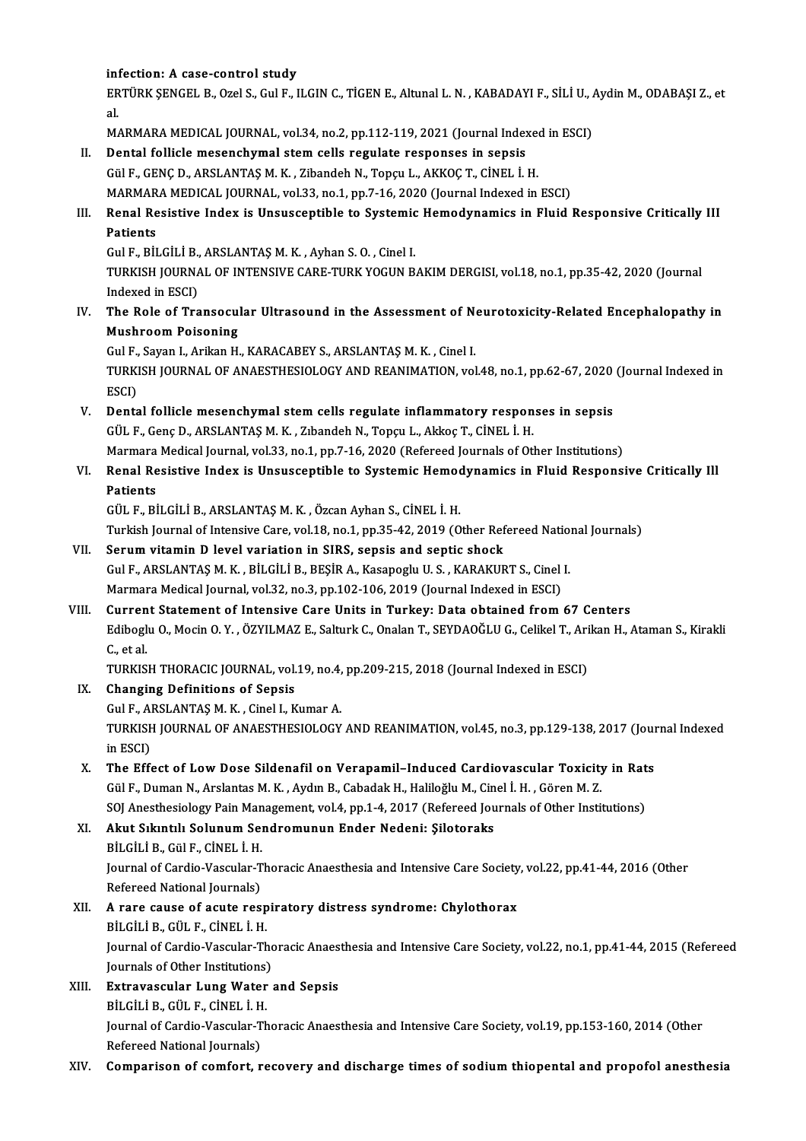infection: A case-control study

infection: A case-control study<br>ERTÜRK ŞENGEL B., Ozel S., Gul F., ILGIN C., TİGEN E., Altunal L. N. , KABADAYI F., SİLİ U., Aydin M., ODABAŞI Z., et int<br>ER<br>al. ERTÜRK ŞENGEL B., Ozel S., Gul F., ILGIN C., TİGEN E., Altunal L. N. , KABADAYI F., SİLİ U., .<br>al.<br>MARMARA MEDICAL JOURNAL, vol.34, no.2, pp.112-119, 2021 (Journal Indexed in ESCI)<br>Pantal fallislə məsənəbumal atam salla nə

MARMARA MEDICAL JOURNAL, vol.34, no.2, pp.112-119, 2021 (Journal Indexed in ESCI)

al.<br>MARMARA MEDICAL JOURNAL, vol.34, no.2, pp.112-119, 2021 (Journal Indexed<br>II. Dental follicle mesenchymal stem cells regulate responses in sepsis<br>Gül F., GENC D., ARSLANTAS M. K. , Zibandeh N., Topçu L., AKKOC T., CİNEL Dental follicle mesenchymal stem cells regulate responses in sepsis<br>Gül F., GENÇ D., ARSLANTAŞ M. K. , Zibandeh N., Topçu L., AKKOÇ T., CİNEL İ. H.<br>MARMARA MEDICAL JOURNAL, vol.33, no.1, pp.7-16, 2020 (Journal Indexed in E

Gül F., GENÇ D., ARSLANTAŞ M. K. , Zibandeh N., Topçu L., AKKOÇ T., CİNEL İ. H.<br>MARMARA MEDICAL JOURNAL, vol.33, no.1, pp.7-16, 2020 (Journal Indexed in ESCI)<br>III. Renal Resistive Index is Unsusceptible to Systemic Hem MARMAR<br>Renal Re<br>Patients<br>Cul E Rit Renal Resistive Index is Unsusceptible to Systemic<br>Patients<br>Gul F., BİLGİLİ B., ARSLANTAŞ M. K. , Ayhan S. O. , Cinel I.<br>TURKISH JOURNAL OF INTENSIVE CARE TURK YOCUN R

Gul F., BİLGİLİ B., ARSLANTAŞ M. K., Ayhan S. O., Cinel I.

Patients<br>Gul F., BİLGİLİ B., ARSLANTAŞ M. K. , Ayhan S. O. , Cinel I.<br>TURKISH JOURNAL OF INTENSIVE CARE-TURK YOGUN BAKIM DERGISI, vol.18, no.1, pp.35-42, 2020 (Journal<br>Indexed in ESCI) TURKISH JOURNAL OF INTENSIVE CARE-TURK YOGUN BAKIM DERGISI, vol.18, no.1, pp.35-42, 2020 (Journal Indexed in ESCI)<br>IV. The Role of Transocular Ultrasound in the Assessment of Neurotoxicity-Related Encephalopathy in<br>Mushroo

Indexed in ESCI)<br>The Role of Transocul<br>Mushroom Poisoning<br>Cul E. Savon L. Arikan H The Role of Transocular Ultrasound in the Assessment of Networks.<br>Mushroom Poisoning<br>Gul F., Sayan I., Arikan H., KARACABEY S., ARSLANTAŞ M. K. , Cinel I.<br>TURKISH JOURNAL OF ANAESTUESIOLOCY AND REANIMATION vol

Mushroom Poisoning<br>Gul F., Sayan I., Arikan H., KARACABEY S., ARSLANTAŞ M. K. , Cinel I.<br>TURKISH JOURNAL OF ANAESTHESIOLOGY AND REANIMATION, vol.48, no.1, pp.62-67, 2020 (Journal Indexed in<br>ESCD Gul F.,<br>TURKI<br>ESCI)<br>Pents TURKISH JOURNAL OF ANAESTHESIOLOGY AND REANIMATION, vol.48, no.1, pp.62-67, 2020<br>ESCI)<br>V. Dental follicle mesenchymal stem cells regulate inflammatory responses in sepsis<br>CULE Canaly ARSLANTASM K. Zubandab N. Tangu L. Akka

ESCI)<br>V. Dental follicle mesenchymal stem cells regulate inflammatory responses in sepsis<br>GÜL F., Genç D., ARSLANTAŞ M. K. , Zıbandeh N., Topçu L., Akkoç T., CİNEL İ. H. Dental follicle mesenchymal stem cells regulate inflammatory responses in sepsis<br>GÜL F., Genç D., ARSLANTAŞ M. K. , Zıbandeh N., Topçu L., Akkoç T., CİNEL İ. H.<br>Marmara Medical Journal, vol.33, no.1, pp.7-16, 2020 (Referee

## VI. Renal Resistive Index is Unsusceptible to Systemic Hemodynamics in Fluid Responsive Critically Ill<br>Patients Marmara<br><mark>Renal Re</mark><br>Patients<br>CÜLE P<sup>i</sup>

GÜL F.,BİLGİLİB.,ARSLANTAŞM.K. ,ÖzcanAyhanS.,CİNEL İ.H.

Turkish Journal of Intensive Care, vol.18, no.1, pp.35-42, 2019 (Other Refereed National Journals)

- VII. Serum vitamin D level variation in SIRS, sepsis and septic shock Turkish Journal of Intensive Care, vol.18, no.1, pp.35-42, 2019 (Other Refereed Nation<br>Serum vitamin D level variation in SIRS, sepsis and septic shock<br>Gul F., ARSLANTAŞ M. K. , BİLGİLİ B., BEŞİR A., Kasapoglu U. S. , KARA Serum vitamin D level variation in SIRS, sepsis and septic shock<br>Gul F., ARSLANTAŞ M. K. , BİLGİLİ B., BEŞİR A., Kasapoglu U. S. , KARAKURT S., Cinel<br>Marmara Medical Journal, vol.32, no.3, pp.102-106, 2019 (Journal Indexed Marmara Medical Journal, vol.32, no.3, pp.102-106, 2019 (Journal Indexed in ESCI)<br>VIII. Current Statement of Intensive Care Units in Turkey: Data obtained from 67 Centers
- Marmara Medical Journal, vol.32, no.3, pp.102-106, 2019 (Journal Indexed in ESCI)<br>Current Statement of Intensive Care Units in Turkey: Data obtained from 67 Centers<br>Ediboglu O., Mocin O. Y. , ÖZYILMAZ E., Salturk C., Onala **Curren<br>Edibogl<br>C., et al.<br>TUDVIS** Ediboglu O., Mocin O. Y. , ÖZYILMAZ E., Salturk C., Onalan T., SEYDAOĞLU G., Celikel T., Ari<br>C., et al.<br>TURKISH THORACIC JOURNAL, vol.19, no.4, pp.209-215, 2018 (Journal Indexed in ESCI)<br>Shanging Definitions of Soneis C., et al.<br>TURKISH THORACIC JOURNAL, vol<br>IX. Changing Definitions of Sepsis

TURKISH THORACIC JOURNAL, vol.19, no.4, pp.209-215, 2018 (Journal Indexed in ESCI)

- TURKISH JOURNAL OF ANAESTHESIOLOGY AND REANIMATION, vol.45, no.3, pp.129-138, 2017 (Journal Indexed in ESCI) Gul F., ARSLANTAS M. K., Cinel I., Kumar A. TURKISH JOURNAL OF ANAESTHESIOLOGY AND REANIMATION, vol.45, no.3, pp.129-138, 2017 (Journal ESCI)<br>in ESCI)<br>X. The Effect of Low Dose Sildenafil on Verapamil–Induced Cardiovascular Toxicity in Rats<br>Gil E. Duman N. Arclantes
- in ESCI)<br>The Effect of Low Dose Sildenafil on Verapamil–Induced Cardiovascular Toxicity<br>Gül F., Duman N., Arslantas M. K. , Aydın B., Cabadak H., Haliloğlu M., Cinel İ. H. , Gören M. Z.<br>SQL Anesthesialagy Pain Management v The Effect of Low Dose Sildenafil on Verapamil–Induced Cardiovascular Toxicity in Rat<br>Gül F., Duman N., Arslantas M. K. , Aydın B., Cabadak H., Haliloğlu M., Cinel İ. H. , Gören M. Z.<br>SOJ Anesthesiology Pain Management, vo Gül F., Duman N., Arslantas M. K. , Aydın B., Cabadak H., Haliloğlu M., Cin<br>SOJ Anesthesiology Pain Management, vol.4, pp.1-4, 2017 (Refereed Jou<br>XI. Akut Sıkıntılı Solunum Sendromunun Ender Nedeni: Şilotoraks<br>PUCULP Cül F

## SOJ Anesthesiology Pain Man<br>Akut Sıkıntılı Solunum Sei<br>BİLGİLİ B., Gül F., CİNEL İ. H.<br>Journal of Cardia Vascular T Akut Sıkıntılı Solunum Sendromunun Ender Nedeni: Şilotoraks<br>BİLGİLİ B., Gül F., CİNEL İ. H.<br>Journal of Cardio-Vascular-Thoracic Anaesthesia and Intensive Care Society, vol.22, pp.41-44, 2016 (Other<br>Refereed National Journa BİLGİLİ B., Gül F., CİNEL İ. H.<br>Journal of Cardio-Vascular-T<br>Refereed National Journals)<br>A rana gause of aqute ras: Journal of Cardio-Vascular-Thoracic Anaesthesia and Intensive Care Society<br>Refereed National Journals)<br>XII. A rare cause of acute respiratory distress syndrome: Chylothorax<br>PUCULE CULE CINELLH

## Refereed National Journals)<br>A rare cause of acute resp<br>BİLGİLİ B., GÜL F., CİNEL İ. H.<br>Journal of Cardio Vassular Th A rare cause of acute respiratory distress syndrome: Chylothorax<br>BİLGİLİ B., GÜL F., CİNEL İ. H.<br>Journal of Cardio-Vascular-Thoracic Anaesthesia and Intensive Care Society, vol.22, no.1, pp.41-44, 2015 (Refereed<br>Journals o BİLGİLİ B., GÜL F., CİNEL İ. H.<br>Journal of Cardio-Vascular-The<br>Journals of Other Institutions)<br>Extravascular Lung Watar Journal of Cardio-Vascular-Thoracic Anaes<br>Journals of Other Institutions)<br>XIII. Extravascular Lung Water and Sepsis<br>Pit Cit i B. Citt E. Cinet i H

- Journals of Other Institutions)<br>Extravascular Lung Water<br>BİLGİLİ B., GÜL F., CİNEL İ. H.<br>Journal of Cardio Vassular Th Journal of Cardio-Vascular-Thoracic Anaesthesia and Intensive Care Society, vol.19, pp.153-160, 2014 (Other Refereed National Journals) BİLGİLİ B. GÜL F. CİNEL İ.H.
- XIV. Comparison of comfort, recovery and discharge times of sodiumthiopental and propofol anesthesia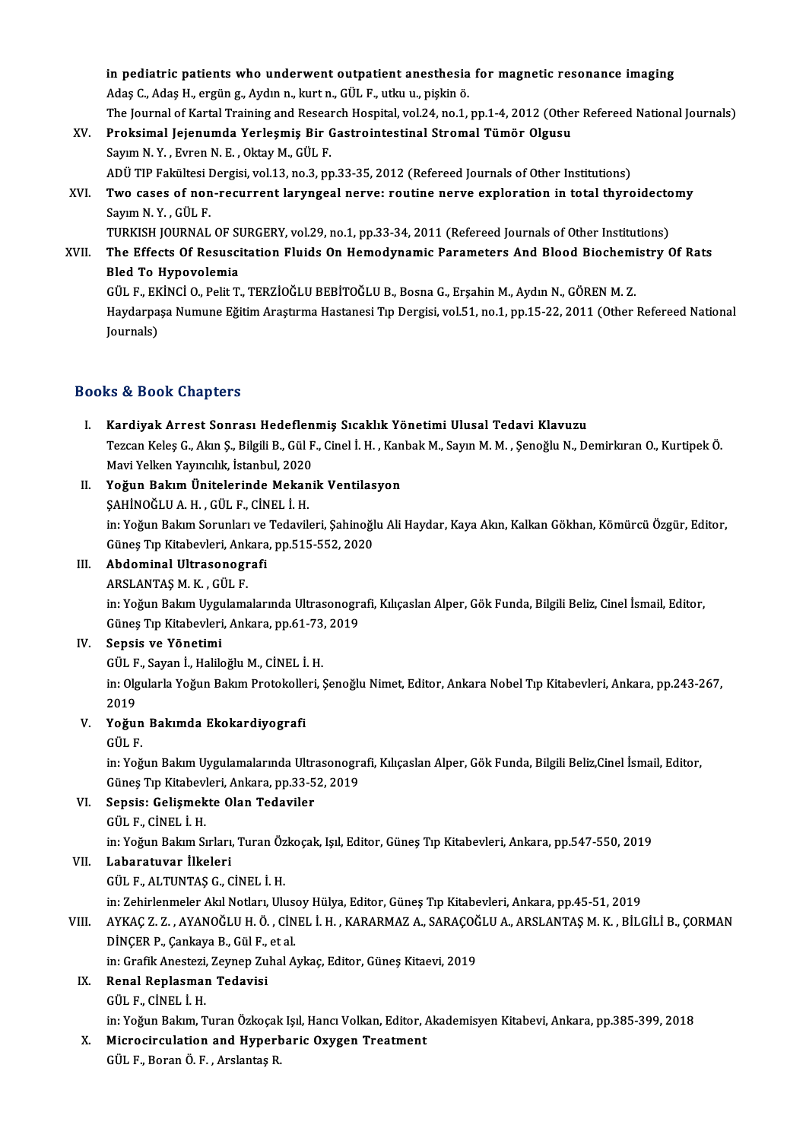in pediatric patients who underwent outpatient anesthesia for magnetic resonance imaging in pediatric patients who underwent outpatient anesthesia<br>Adaş C., Adaş H., ergüng., Aydın n., kurt n., GÜL F., utku u., pişkin ö.<br>The Journal of Kartal Training and Bessarsh Hespital vol 24, no 1. in pediatric patients who underwent outpatient anesthesia for magnetic resonance imaging<br>Adaş C., Adaş H., ergün g., Aydın n., kurt n., GÜL F., utku u., pişkin ö.<br>The Journal of Kartal Training and Research Hospital, vol.2 Adaş C., Adaş H., ergün g., Aydın n., kurt n., GÜL F., utku u., pişkin ö.<br>The Journal of Kartal Training and Research Hospital, vol.24, no.1, pp.1-4, 2012 (Othe<br>XV. Proksimal Jejenumda Yerleşmiş Bir Gastrointestinal Stroma

- The Journal of Kartal Training and Resear<br>Proksimal Jejenumda Yerleşmiş Bir (<br>Sayım N.Y., Evren N.E., Oktay M., GÜL F.<br>ADÜ TIP Fekültesi Dergisi vel 13.no 3.nr Sayım N. Y. , Evren N. E. , Oktay M., GÜL F.<br>ADÜ TIP Fakültesi Dergisi, vol.13, no.3, pp.33-35, 2012 (Refereed Journals of Other Institutions) Sayım N. Y. , Evren N. E. , Oktay M., GÜL F.<br>ADÜ TIP Fakültesi Dergisi, vol.13, no.3, pp.33-35, 2012 (Refereed Journals of Other Institutions)<br>XVI. Two cases of non-recurrent laryngeal nerve: routine nerve exploration
- ADÜ TIP Fakültesi I<br><mark>Two cases of non</mark><br>Sayım N.Y., GÜL F.<br>TURKISH JOURNAI Two cases of non-recurrent laryngeal nerve: routine nerve exploration in total thyroidecto<br>Sayım N.Y., GÜL F.<br>TURKISH JOURNAL OF SURGERY, vol.29, no.1, pp.33-34, 2011 (Refereed Journals of Other Institutions)<br>The Effects O

Sayım N. Y. , GÜL F.<br>TURKISH JOURNAL OF SURGERY, vol.29, no.1, pp.33-34, 2011 (Refereed Journals of Other Institutions)<br>XVII. The Effects Of Resuscitation Fluids On Hemodynamic Parameters And Blood Biochemistry Of Rats TURKISH JOURNAL OF ST<br>The Effects Of Resusci<br>Bled To Hypovolemia<br>CÜLE EKİNCİ O Polit T The Effects Of Resuscitation Fluids On Hemodynamic Parameters And Blood Biochemi<br>Bled To Hypovolemia<br>GÜL F., EKİNCİ O., Pelit T., TERZİOĞLU BEBİTOĞLU B., Bosna G., Erşahin M., Aydın N., GÖREN M. Z.<br>Haydarnaca Numuna Eğitim

Bled To Hypovolemia<br>GÜL F., EKİNCİ O., Pelit T., TERZİOĞLU BEBİTOĞLU B., Bosna G., Erşahin M., Aydın N., GÖREN M. Z.<br>Haydarpaşa Numune Eğitim Araştırma Hastanesi Tıp Dergisi, vol.51, no.1, pp.15-22, 2011 (Other Refereed Na GÜL F., EK<br>Haydarpa<br>Journals)

# Journals)<br>Books & Book Chapters

- I. Kardiyak Arrest Sonrası Hedeflenmiş Sıcaklık Yönetimi Ulusal Tedavi Klavuzu tə & Bəək Ghapters<br>Kardiyak Arrest Sonrası Hedeflenmiş Sıcaklık Yönetimi Ulusal Tedavi Klavuzu<br>Tezcan Keleş G., Akın Ş., Bilgili B., Gül F., Cinel İ. H. , Kanbak M., Sayın M. M. , Şenoğlu N., Demirkıran O., Kurtipek Ö.<br>May Kardiyak Arrest Sonrası Hedeflen<br>Tezcan Keleş G., Akın Ş., Bilgili B., Gül F<br>Mavi Yelken Yayıncılık, İstanbul, 2020<br>Yoğun Bakım Ünitelerinde Mekani Mavi Yelken Yayıncılık, İstanbul, 2020<br>II. Yoğun Bakım Ünitelerinde Mekanik Ventilasyon
- ŞAHİNOĞLUA.H. ,GÜL F.,CİNEL İ.H. Yo<mark>ğun Bakım Ünitelerinde Mekanik Ventilasyon</mark><br>ŞAHİNOĞLU A. H. , GÜL F., CİNEL İ. H.<br>in: Yoğun Bakım Sorunları ve Tedavileri, Şahinoğlu Ali Haydar, Kaya Akın, Kalkan Gökhan, Kömürcü Özgür, Editor,<br>Cünes Tın Kitabeyleri, An ŞAHİNOĞLU A. H. , GÜL F., CİNEL İ. H.<br>in: Yoğun Bakım Sorunları ve Tedavileri, Şahinoğl<br>Güneş Tıp Kitabevleri, Ankara, pp.515-552, 2020<br>Abdominal Illtrasonografi Güneş Tıp Kitabevleri, Ankara, pp.515-552, 2020<br>III. Abdominal Ultrasonografi

ARSLANTAŞM.K. ,GÜL F.

in: Yoğun Bakım Uygulamalarında Ultrasonografi, Kılıçaslan Alper, Gök Funda, Bilgili Beliz, Cinel İsmail, Editor, ARSLANTAŞ M. K. , GÜL F.<br>in: Yoğun Bakım Uygulamalarında Ultrasonogra<br>Güneş Tıp Kitabevleri, Ankara, pp.61-73, 2019<br>Sensis ve Yönetimi Güneş Tıp Kitabevleri, Ankara, pp.61-73,<br>Sepsis ve Yönetimi<br>GÜL F., Sayan İ., Haliloğlu M., CİNEL İ. H.<br>in: Olaylarla Yoğun Balam Bratakallari

### IV. Sepsis ve Yönetimi

GÜL F., Sayan İ., Haliloğlu M., CİNEL İ. H.

in: Olgularla Yoğun Bakım Protokolleri, Şenoğlu Nimet, Editor, Ankara Nobel Tıp Kitabevleri, Ankara, pp.243-267,<br>2019 in: Olgularla Yoğun Bakım Protokolle<br>2019<br>V. Yoğun Bakımda Ekokardiyografi<br>CÜLE

# 2019<br>Yoğun<br>GÜL F.<br>in:Yoğ

Yoğun Bakımda Ekokardiyografi<br>GÜL F.<br>in: Yoğun Bakım Uygulamalarında Ultrasonografi, Kılıçaslan Alper, Gök Funda, Bilgili Beliz,Cinel İsmail, Editor, GÜL F.<br>in: Yoğun Bakım Uygulamalarında Ultrasonogra<br>Güneş Tıp Kitabevleri, Ankara, pp.33-52, 2019<br>Sensis: Colismakte Olan Todaviler Güneş Tıp Kitabevleri, Ankara, pp.33-52, 2019

## VI. Sepsis: Gelişmekte Olan Tedaviler

Sepsis: Gelişmekte Olan Tedaviler<br>GÜL F., CİNEL İ. H.<br>in: Yoğun Bakım Sırları, Turan Özkoçak, Işıl, Editor, Güneş Tıp Kitabevleri, Ankara, pp.547-550, 2019<br>Labaratuyar, İlkolari

VII. Labaratuvar İlkeleri<br>GÜL F., ALTUNTAŞ G., CİNEL İ. H. in: Yoğun Bakım Sırları, Turan Öz<br><mark>Labaratuvar İlkeleri</mark><br>GÜL F., ALTUNTAŞ G., CİNEL İ. H.<br>in: Zabirlenmeler Alıl Netleru III.

in:ZehirlenmelerAkılNotları,UlusoyHülya,Editor,GüneşTıpKitabevleri,Ankara,pp.45-51,2019

GÜL F., ALTUNTAŞ G., CİNEL İ. H.<br>in: Zehirlenmeler Akıl Notları, Ulusoy Hülya, Editor, Güneş Tıp Kitabevleri, Ankara, pp.45-51, 2019<br>VIII. AYKAÇ Z. Z. , AYANOĞLU H. Ö. , CİNEL İ. H. , KARARMAZ A., SARAÇOĞLU A., ARSLANT in: Zehirlenmeler Akıl Notları, Ulus<br>AYKAÇ Z. Z. , AYANOĞLU H. Ö. , CİN<br>DİNÇER P., Çankaya B., Gül F., et al.<br>in: Crafik Anesteri Zeymon Zubal A AYKAÇ Z. Z. , AYANOĞLU H. Ö. , CİNEL İ. H. , KARARMAZ A., SARAÇOĞ<br>DİNÇER P., Çankaya B., Gül F., et al.<br>in: Grafik Anestezi, Zeynep Zuhal Aykaç, Editor, Güneş Kitaevi, 2019<br>Banal Banlasman Tadayisi

## DİNÇER P., Çankaya B., Gül F.,<br>in: Grafik Anestezi, Zeynep Zu<br>IX. Renal Replasman Tedavisi in: Grafik Anestezi, Zeynep Zuhal Aykaç, Editor, Güneş Kitaevi, 2019<br>IX. Renal Replasman Tedavisi<br>GÜL F., CİNEL İ. H.

Renal Replasman Tedavisi<br>GÜL F., CİNEL İ. H.<br>in: Yoğun Bakım, Turan Özkoçak Işıl, Hancı Volkan, Editor, Akademisyen Kitabevi, Ankara, pp.385-399, 2018<br>Mianosinavlation and Hunorbanis Ovygen Treatment

# GÜL F., CİNEL İ. H.<br>in: Yoğun Bakım, Turan Özkoçak Işıl, Hancı Volkan, Editor, *f*<br>X. Microcirculation and Hyperbaric Oxygen Treatment<br>CÜL E. Boran Ö. E. Arelartes P.

in: Yoğun Bakım, Turan Özkoçak<br><mark>Microcirculation and Hyperl</mark><br>GÜL F., Boran Ö. F. , Arslantaş R.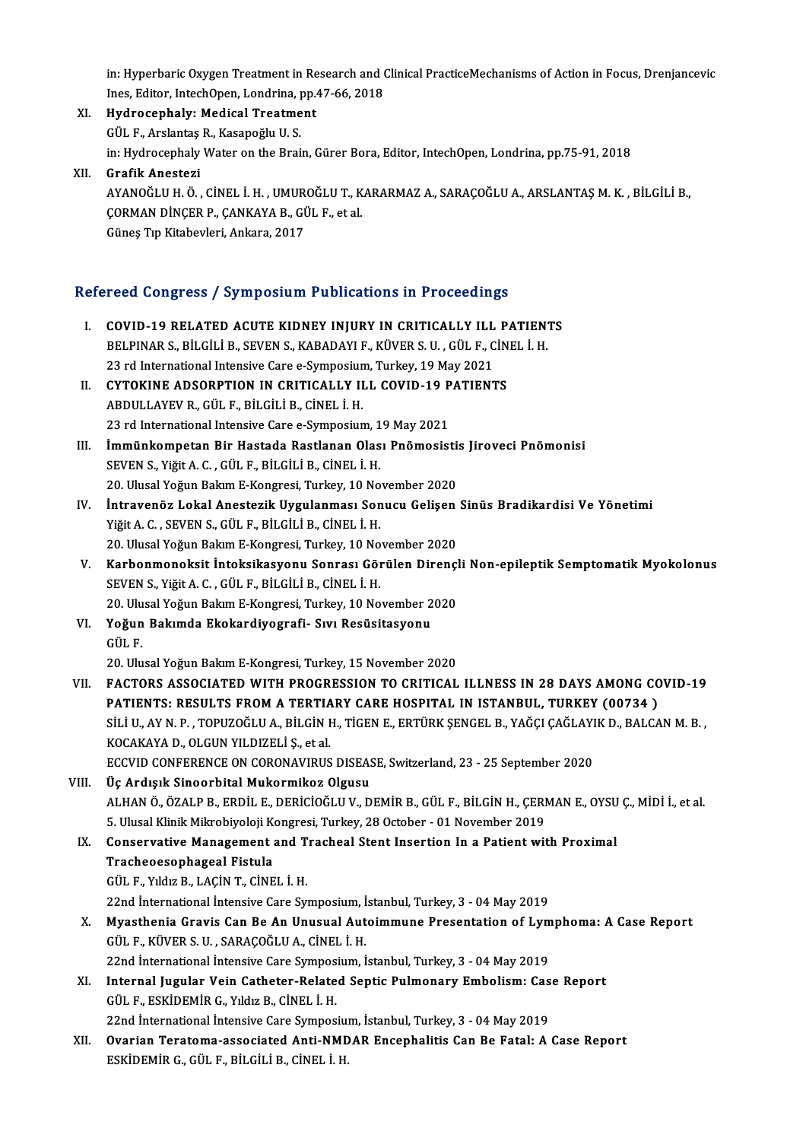in: Hyperbaric Oxygen Treatment in Research and Clinical PracticeMechanisms of Action in Focus, Drenjancevic<br>Ines Editer InteghOpen Londrine, np.47.66, 2019 in: Hyperbaric Oxygen Treatment in Research and (<br>Ines, Editor, IntechOpen, Londrina, pp.47-66, 2018<br>Hydnosephely: Medisel Treatment in: Hyperbaric Oxygen Treatment in Re<br>Ines, Editor, IntechOpen, Londrina, pp.<br>XI. Hydrocephaly: Medical Treatment

Ines, Editor, IntechOpen, Londrina, I<br>Hydrocephaly: Medical Treatme<br>GÜL F., Arslantaş R., Kasapoğlu U. S.<br>in: Hydrocephaly Water on the Brai GÜL F., Arslantaş R., Kasapoğlu U. S.<br>in: Hydrocephaly Water on the Brain, Gürer Bora, Editor, IntechOpen, Londrina, pp.75-91, 2018

XII. Grafik Anestezi in: Hydrocephaly Water on the Brain, Gürer Bora, Editor, IntechOpen, Londrina, pp.75-91, 2018<br>Grafik Anestezi<br>AYANOĞLU H. Ö. , CİNEL İ. H. , UMUROĞLU T., KARARMAZ A., SARAÇOĞLU A., ARSLANTAŞ M. K. , BİLGİLİ B.,<br>CORMAN DİNC Grafik Anestezi<br>AYANOĞLU H. Ö. , CİNEL İ. H. , UMUROĞLU T., K<br>ÇORMAN DİNÇER P., ÇANKAYA B., GÜL F., et al.<br>Cünes Tın Kitabeyleri, Ankara, 2017 AYANOĞLU H. Ö. , CİNEL İ. H. , UMUR<br>ÇORMAN DİNÇER P., ÇANKAYA B., Gİ<br>Güneş Tıp Kitabevleri, Ankara, 2017

# Guney Tip Kitabevieri, Ankara, 2017<br>Refereed Congress / Symposium Publications in Proceedings

| Refereed Congress / Symposium Publications in Proceedings |                                                                                                                                                                  |  |
|-----------------------------------------------------------|------------------------------------------------------------------------------------------------------------------------------------------------------------------|--|
| L.                                                        | COVID-19 RELATED ACUTE KIDNEY INJURY IN CRITICALLY ILL PATIENTS                                                                                                  |  |
|                                                           | BELPINAR S., BİLGİLİ B., SEVEN S., KABADAYI F., KÜVER S. U., GÜL F., CİNEL İ. H.                                                                                 |  |
|                                                           | 23 rd International Intensive Care e-Symposium, Turkey, 19 May 2021                                                                                              |  |
| П.                                                        | CYTOKINE ADSORPTION IN CRITICALLY ILL COVID-19 PATIENTS                                                                                                          |  |
|                                                           | ABDULLAYEV R., GÜL F., BİLGİLİ B., CİNEL İ. H.                                                                                                                   |  |
|                                                           | 23 rd International Intensive Care e-Symposium, 19 May 2021                                                                                                      |  |
| Ш.                                                        | İmmünkompetan Bir Hastada Rastlanan Olası Pnömosistis Jiroveci Pnömonisi                                                                                         |  |
|                                                           | SEVEN S., Yiğit A. C., GÜL F., BİLGİLİ B., CİNEL İ. H.                                                                                                           |  |
|                                                           | 20. Ulusal Yoğun Bakım E-Kongresi, Turkey, 10 November 2020                                                                                                      |  |
| IV.                                                       | İntravenöz Lokal Anestezik Uygulanması Sonucu Gelişen Sinüs Bradikardisi Ve Yönetimi                                                                             |  |
|                                                           | Yiğit A. C., SEVEN S., GÜL F., BİLGİLİ B., CİNEL İ. H.                                                                                                           |  |
|                                                           | 20. Ulusal Yoğun Bakım E-Kongresi, Turkey, 10 November 2020                                                                                                      |  |
| V.                                                        | Karbonmonoksit İntoksikasyonu Sonrası Görülen Dirençli Non-epileptik Semptomatik Myokolonus                                                                      |  |
|                                                           | SEVEN S., Yiğit A. C., GÜL F., BİLGİLİ B., CİNEL İ. H.                                                                                                           |  |
|                                                           | 20. Ulusal Yoğun Bakım E-Kongresi, Turkey, 10 November 2020                                                                                                      |  |
| VI.                                                       | Yoğun Bakımda Ekokardiyografi- Sıvı Resüsitasyonu                                                                                                                |  |
|                                                           | GÜL F                                                                                                                                                            |  |
|                                                           | 20. Ulusal Yoğun Bakım E-Kongresi, Turkey, 15 November 2020                                                                                                      |  |
| VII.                                                      | FACTORS ASSOCIATED WITH PROGRESSION TO CRITICAL ILLNESS IN 28 DAYS AMONG COVID-19<br>PATIENTS: RESULTS FROM A TERTIARY CARE HOSPITAL IN ISTANBUL, TURKEY (00734) |  |
|                                                           | SİLİ U., AY N. P., TOPUZOĞLU A., BİLGİN H., TİGEN E., ERTÜRK ŞENGEL B., YAĞÇI ÇAĞLAYIK D., BALCAN M. B.,                                                         |  |
|                                                           | KOCAKAYA D., OLGUN YILDIZELİ Ş., et al.                                                                                                                          |  |
|                                                           | ECCVID CONFERENCE ON CORONAVIRUS DISEASE, Switzerland, 23 - 25 September 2020                                                                                    |  |
| VIII.                                                     | Üç Ardışık Sinoorbital Mukormikoz Olgusu                                                                                                                         |  |
|                                                           | ALHAN Ö., ÖZALP B., ERDİL E., DERİCİOĞLU V., DEMİR B., GÜL F., BİLGİN H., ÇERMAN E., OYSU Ç., MİDİ İ., et al.                                                    |  |
|                                                           | 5. Ulusal Klinik Mikrobiyoloji Kongresi, Turkey, 28 October - 01 November 2019                                                                                   |  |
| IX.                                                       | Conservative Management and Tracheal Stent Insertion In a Patient with Proximal                                                                                  |  |
|                                                           | Tracheoesophageal Fistula                                                                                                                                        |  |
|                                                           | GÜL F. Yıldız B. LACİN T. CİNEL İ. H.                                                                                                                            |  |
|                                                           | 22nd International Intensive Care Symposium, Istanbul, Turkey, 3 - 04 May 2019                                                                                   |  |
| X.                                                        | Myasthenia Gravis Can Be An Unusual Autoimmune Presentation of Lymphoma: A Case Report                                                                           |  |
|                                                           | GÜL F., KÜVER S. U., SARAÇOĞLU A., CİNEL İ. H.                                                                                                                   |  |
|                                                           | 22nd International Intensive Care Symposium, İstanbul, Turkey, 3 - 04 May 2019                                                                                   |  |
| XI.                                                       | Internal Jugular Vein Catheter-Related Septic Pulmonary Embolism: Case Report                                                                                    |  |
|                                                           | GÜL F., ESKİDEMİR G., Yıldız B., CİNEL İ. H.                                                                                                                     |  |
|                                                           | 22nd International Intensive Care Symposium, Istanbul, Turkey, 3 - 04 May 2019                                                                                   |  |
| XII.                                                      | Ovarian Teratoma-associated Anti-NMDAR Encephalitis Can Be Fatal: A Case Report                                                                                  |  |
|                                                           | ESKİDEMİR G., GÜL F., BİLGİLİ B., CİNEL İ. H.                                                                                                                    |  |
|                                                           |                                                                                                                                                                  |  |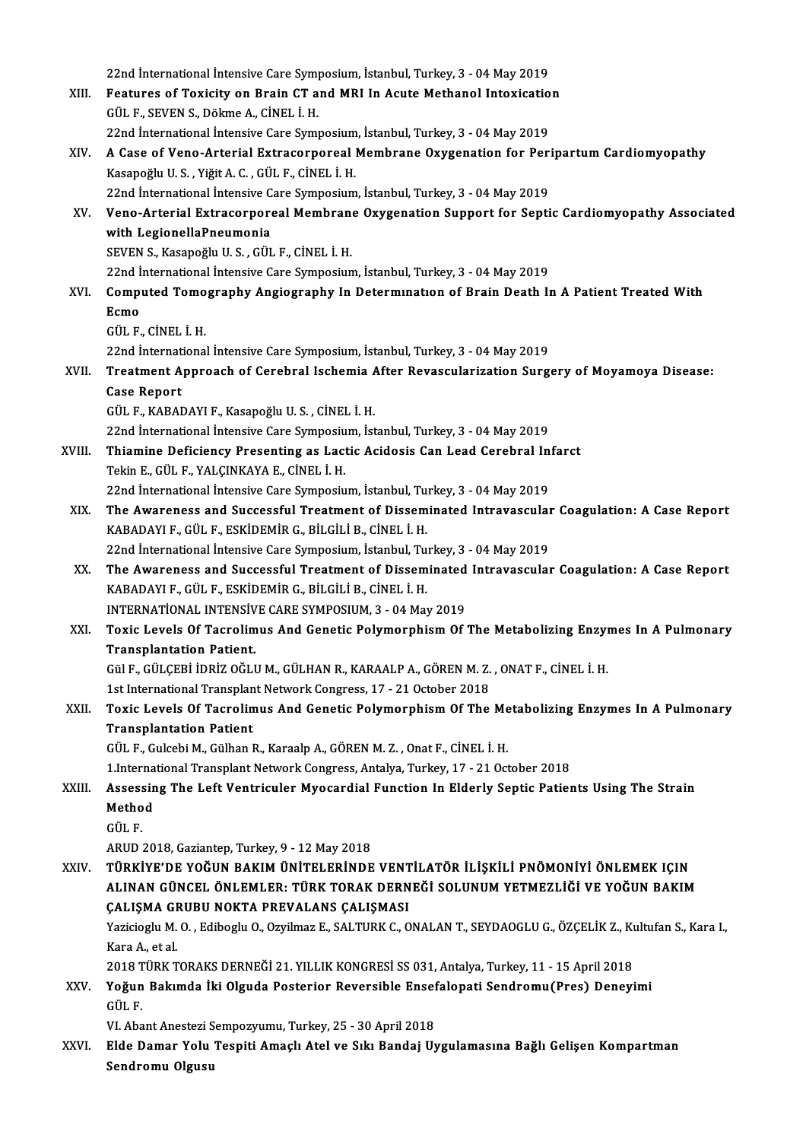22nd İnternational İntensive Care Symposium, İstanbul, Turkey, 3 - 04 May 2019<br>Features of Texisity on Prain CT and MBL In Asute Methanel Interiestic 22nd International Intensive Care Symposium, Istanbul, Turkey, 3 - 04 May 2019<br>XIII. Features of Toxicity on Brain CT and MRI In Acute Methanol Intoxication 22nd International Intensive Care Sympress.<br>Features of Toxicity on Brain CT a<br>GÜL F., SEVEN S., Dökme A., CİNEL İ. H.<br>22nd İnternational İntensive Care Symp Features of Toxicity on Brain CT and MRI In Acute Methanol Intoxicatio<br>GÜL F., SEVEN S., Dökme A., CİNEL İ. H.<br>22nd İnternational İntensive Care Symposium, İstanbul, Turkey, 3 - 04 May 2019<br>A Case of Vene, Artenial Extress GÜL F., SEVEN S., Dökme A., CİNEL İ. H.<br>22nd İnternational İntensive Care Symposium, İstanbul, Turkey, 3 - 04 May 2019<br>XIV. — A Case of Veno-Arterial Extracorporeal Membrane Oxygenation for Peripartum Cardiomyopathy 22nd İnternational İntensive Care Symposium, İstanbul, Turkey, 3 - 04 May 2019<br>A Case of Veno-Arterial Extracorporeal Membrane Oxygenation for Per<br>Kasapoğlu U.S. , Yiğit A. C. , GÜL F., CİNEL İ. H. A Case of Veno-Arterial Extracorporeal Membrane Oxygenation for Peri<br>Kasapoğlu U.S., Yiğit A.C., GÜL F., CİNEL İ. H.<br>22nd İnternational İntensive Care Symposium, İstanbul, Turkey, 3 - 04 May 2019<br>Vene Arterial Extracerpore XV. Veno-Arterial Extracorporeal Membrane Oxygenation Support for Septic Cardiomyopathy Associated<br>with LegionellaPneumonia 22nd International Intensive Care Symposium, Istanbul, Turkey, 3 - 04 May 2019 SEVENS.,KasapoğluU.S. ,GÜL F.,CİNEL İ.H. with LegionellaPneumonia<br>SEVEN S., Kasapoğlu U. S. , GÜL F., CİNEL İ. H.<br>22nd İnternational İntensive Care Symposium, İstanbul, Turkey, 3 - 04 May 2019<br>Computed Tomography Angiography In Determunation of Brain Dooth I. XVI. Computed Tomography Angiography In Determination of Brain Death In A Patient Treated With<br>Ecmo 22nd İ<br>Compi<br>Ecmo<br>CÜL E GÜL F.,CİNEL İ.H. Ecmo<br>GÜL F., CİNEL İ. H.<br>22nd İnternational İntensive Care Symposium, İstanbul, Turkey, 3 - 04 May 2019<br>Treatment Annreach of Cerebral Jackemia Aftar Bevessuleriration Surg GÜL F., CİNEL İ. H.<br>22nd İnternational İntensive Care Symposium, İstanbul, Turkey, 3 - 04 May 2019<br>XVII. Treatment Approach of Cerebral Ischemia After Revascularization Surgery of Moyamoya Disease:<br>Casa Banart 22nd Internat<br>Treatment A<br>Case Report<br>CÜLE KARAI Treatment Approach of Cerebral Ischemia *ł*<br>Case Report<br>GÜL F., KABADAYI F., Kasapoğlu U. S. , CİNEL İ. H.<br>22nd İnternational İntensiye Care Symnesiym İst Case Report<br>GÜL F., KABADAYI F., Kasapoğlu U. S. , CİNEL İ. H.<br>22nd İnternational İntensive Care Symposium, İstanbul, Turkey, 3 - 04 May 2019 GÜL F., KABADAYI F., Kasapoğlu U. S. , CİNEL İ. H.<br>22nd İnternational İntensive Care Symposium, İstanbul, Turkey, 3 - 04 May 2019<br>XVIII. Thiamine Deficiency Presenting as Lactic Acidosis Can Lead Cerebral Infarct<br>Tekin 22nd İnternational İntensive Care Symposiu<br>Thiamine Deficiency Presenting as Lact<br>Tekin E., GÜL F., YALÇINKAYA E., CİNEL İ. H.<br>22nd İnternational İntensive Care Symposiu Thiamine Deficiency Presenting as Lactic Acidosis Can Lead Cerebral In<br>Tekin E., GÜL F., YALÇINKAYA E., CİNEL İ. H.<br>22nd İnternational İntensive Care Symposium, İstanbul, Turkey, 3 - 04 May 2019<br>The Auverness and Sussessfu Tekin E., GÜL F., YALÇINKAYA E., CİNEL İ. H.<br>22nd İnternational İntensive Care Symposium, İstanbul, Turkey, 3 - 04 May 2019<br>XIX. The Awareness and Successful Treatment of Disseminated Intravascular Coagulation: A Case 22nd İnternational İntensive Care Symposium, İstanbul, Tu<br>The Awareness and Successful Treatment of Dissem<br>KABADAYI F., GÜL F., ESKİDEMİR G., BİLGİLİ B., CİNEL İ. H.<br>22nd İnternational İntensive Care Symposium, İstanbul Tu The Awareness and Successful Treatment of Disseminated Intravascular<br>KABADAYI F., GÜL F., ESKİDEMİR G., BİLGİLİ B., CİNEL İ. H.<br>22nd İnternational İntensive Care Symposium, İstanbul, Turkey, 3 - 04 May 2019<br>The Auvernees a KABADAYI F., GÜL F., ESKİDEMİR G., BİLGİLİ B., CİNEL İ. H.<br>22nd İnternational İntensive Care Symposium, İstanbul, Turkey, 3 - 04 May 2019<br>XX. The Awareness and Successful Treatment of Disseminated Intravascular Coagula 22nd İnternational İntensive Care Symposium, İstanbul, Tu<br>The Awareness and Successful Treatment of Dissem<br>KABADAYI F., GÜL F., ESKİDEMİR G., BİLGİLİ B., CİNEL İ. H.<br>INTERNATİONAL INTENSİVE CARE SYMPOSIUM 2. 04 Ma The Awareness and Successful Treatment of Disseminated<br>KABADAYI F., GÜL F., ESKİDEMİR G., BİLGİLİ B., CİNEL İ. H.<br>INTERNATİONAL INTENSİVE CARE SYMPOSIUM, 3 - 04 May 2019<br>Tovis Lavela Of Tagralimus And Canatis Bolumarnhism KABADAYI F., GÜL F., ESKİDEMİR G., BİLGİLİ B., CİNEL İ. H.<br>INTERNATİONAL INTENSİVE CARE SYMPOSIUM, 3 - 04 May 2019<br>XXI. Toxic Levels Of Tacrolimus And Genetic Polymorphism Of The Metabolizing Enzymes In A Pulmonary<br>Tra INTERNATIONAL INTENSIV<br>Toxic Levels Of Tacrolim<br>Transplantation Patient.<br>CSLE CILCERLIDRIZ OCLE Toxic Levels Of Tacrolimus And Genetic Polymorphism Of The Metabolizing Enzyl<br>Transplantation Patient.<br>Gül F., GÜLÇEBİ İDRİZ OĞLU M., GÜLHAN R., KARAALP A., GÖREN M. Z. , ONAT F., CİNEL İ. H.<br>1st International Transplant N Transplantation Patient.<br>Gül F., GÜLÇEBİ İDRİZ OĞLU M., GÜLHAN R., KARAALP A., GÖREN M. Z. , ONAT F., CİNEL İ. H.<br>1st International Transplant Network Congress, 17 - 21 October 2018 Gül F., GÜLÇEBİ İDRİZ OĞLU M., GÜLHAN R., KARAALP A., GÖREN M. Z. , ONAT F., CİNEL İ. H.<br>1st International Transplant Network Congress, 17 - 21 October 2018<br>XXII. Toxic Levels Of Tacrolimus And Genetic Polymorphism Of 1st International Transplan<br>Toxic Levels Of Tacrolin<br>Transplantation Patient<br>CÜLE Cylesbi M. Gülban I Transplantation Patient<br>GÜL F., Gulcebi M., Gülhan R., Karaalp A., GÖREN M. Z. , Onat F., CİNEL İ. H. Transplantation Patient<br>GÜL F., Gulcebi M., Gülhan R., Karaalp A., GÖREN M. Z. , Onat F., CİNEL İ. H.<br>1.International Transplant Network Congress, Antalya, Turkey, 17 - 21 October 2018<br>Assessing The Left Ventriculer Myeger GÜL F., Gulcebi M., Gülhan R., Karaalp A., GÖREN M. Z. , Onat F., CİNEL İ. H.<br>1.International Transplant Network Congress, Antalya, Turkey, 17 - 21 October 2018<br>XXIII. Assessing The Left Ventriculer Myocardial Function 1.Interna<br>Assessin<br>Method<br>Cür F Assess<br>Metho<br>GÜL F. Method<br>GÜL F.<br>ARUD 2018, Gaziantep, Turkey, 9 - 12 May 2018 XXIV. TÜRKİYE'DE YOĞUN BAKIMÜNİTELERİNDE VENTİLATÖR İLİŞKİLİ PNÖMONİYİ ÖNLEMEK IÇIN ARUD 2018, Gaziantep, Turkey, 9 - 12 May 2018<br>TÜRKİYE'DE YOĞUN BAKIM ÜNİTELERİNDE VENTİLATÖR İLİŞKİLİ PNÖMONİYİ ÖNLEMEK IÇIN<br>ALINAN GÜNCEL ÖNLEMLER: TÜRK TORAK DERNEĞİ SOLUNUM YETMEZLİĞİ VE YOĞUN BAKIM<br>CALISMA CRURU NOKTA TÜRKİYE'DE YOĞUN BAKIM ÜNİTELERİNDE VENT<br>ALINAN GÜNCEL ÖNLEMLER: TÜRK TORAK DERN<br>ÇALIŞMA GRUBU NOKTA PREVALANS ÇALIŞMASI<br>Yazisisalı M.O. Edibecli O. Ozulmaz E. SALTURK C. O ALINAN GÜNCEL ÖNLEMLER: TÜRK TORAK DERNEĞİ SOLUNUM YETMEZLİĞİ VE YOĞUN BAKIM<br>ÇALIŞMA GRUBU NOKTA PREVALANS ÇALIŞMASI<br>Yazicioglu M. O. , Ediboglu O., Ozyilmaz E., SALTURK C., ONALAN T., SEYDAOGLU G., ÖZÇELİK Z., Kultufan S. ÇALIŞMA GRUBU NOKTA PREVALANS ÇALIŞMASI<br>Yazicioglu M. O. , Ediboglu O., Ozyilmaz E., SALTURK C., ONALAN T., SEYDAOGLU G., ÖZÇELİK Z., Kı<br>Kara A., et al.<br>2018 TÜRK TORAKS DERNEĞİ 21. YILLIK KONGRESİ SS 031, Antalya, Turkey, Yazicioglu M. O., Ediboglu O., Ozyilmaz E., SALTURK C., ONALAN T., SEYDAOGLU G., ÖZCELİK Z., Kultufan S., Kara I., Kara A., et al.<br>2018 TÜRK TORAKS DERNEĞİ 21. YILLIK KONGRESİ SS 031, Antalya, Turkey, 11 - 15 April 2018<br>XXV. Yoğun Bakımda İki Olguda Posterior Reversible Ensefalopati Sendromu(Pres) Deneyimi<br>CÜLE 2018 T<br><mark>Yoğun</mark><br>GÜL F.<br>VI Aba Yoğun Bakımda İki Olguda Posterior Reversible Ensef<br>GÜL F.<br>VI. Abant Anestezi Sempozyumu, Turkey, 25 - 30 April 2018<br>Elde Damar Valu Teaniti Amaslı Atal ve Sılu Bandai II. GÜL F.<br>VI. Abant Anestezi Sempozyumu, Turkey, 25 - 30 April 2018<br>XXVI. Elde Damar Yolu Tespiti Amaçlı Atel ve Sıkı Bandaj Uygulamasına Bağlı Gelişen Kompartman<br>Sandromu Olsusu VI. Abant Anestezi S<br><mark>Elde Damar Yolu</mark><br>Sendromu Olgusu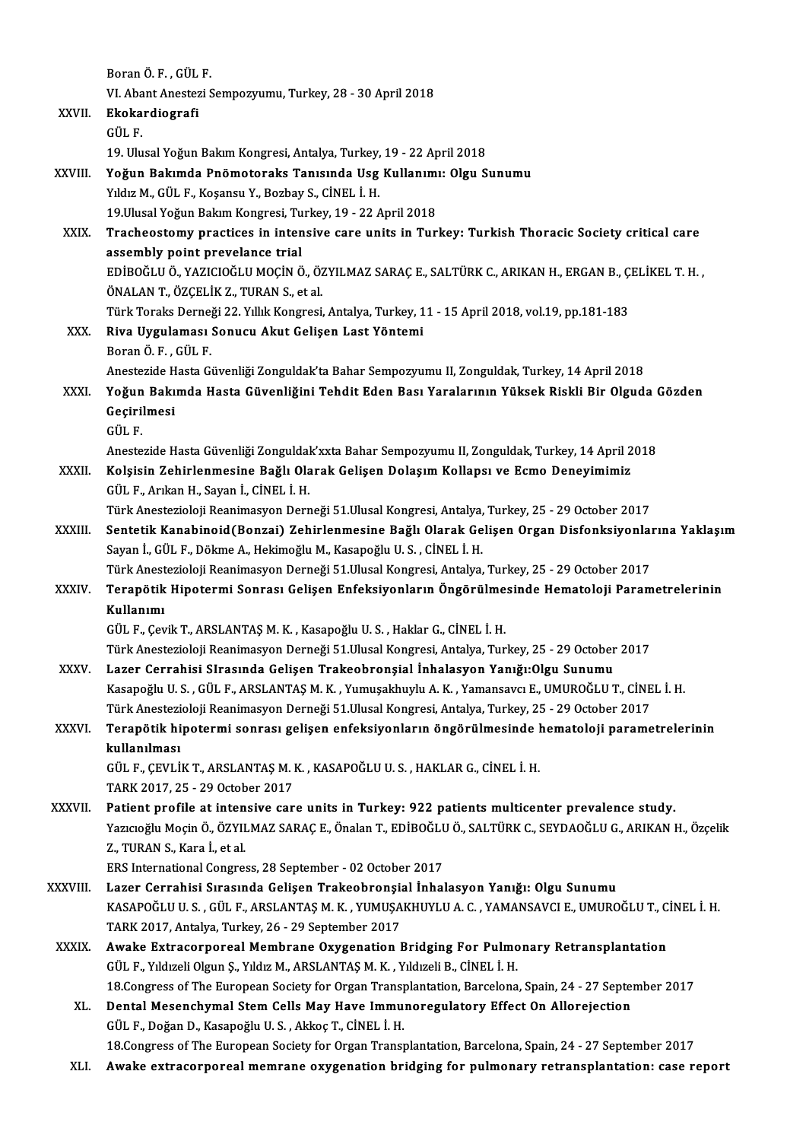|               | Boran Ö.F., GÜL F.                                                                                                                                                                                    |
|---------------|-------------------------------------------------------------------------------------------------------------------------------------------------------------------------------------------------------|
|               | VI. Abant Anestezi Sempozyumu, Turkey, 28 - 30 April 2018                                                                                                                                             |
| XXVII.        | Ekokardiografi<br>GÜL F.                                                                                                                                                                              |
|               |                                                                                                                                                                                                       |
|               | 19. Ulusal Yoğun Bakım Kongresi, Antalya, Turkey, 19 - 22 April 2018                                                                                                                                  |
| XXVIII.       | Yoğun Bakımda Pnömotoraks Tanısında Usg Kullanımı: Olgu Sunumu                                                                                                                                        |
|               | Yıldız M., GÜL F., Koşansu Y., Bozbay S., CİNEL İ. H.                                                                                                                                                 |
|               | 19. Ulusal Yoğun Bakım Kongresi, Turkey, 19 - 22 April 2018                                                                                                                                           |
| XXIX.         | Tracheostomy practices in intensive care units in Turkey: Turkish Thoracic Society critical care                                                                                                      |
|               | assembly point prevelance trial                                                                                                                                                                       |
|               | EDİBOĞLU Ö., YAZICIOĞLU MOÇİN Ö., ÖZYILMAZ SARAÇ E., SALTÜRK C., ARIKAN H., ERGAN B., ÇELİKEL T. H.,                                                                                                  |
|               | ÖNALAN T., ÖZÇELİK Z., TURAN S., et al.                                                                                                                                                               |
|               | Türk Toraks Derneği 22. Yıllık Kongresi, Antalya, Turkey, 11 - 15 April 2018, vol.19, pp.181-183                                                                                                      |
| XXX.          | Riva Uygulaması Sonucu Akut Gelişen Last Yöntemi                                                                                                                                                      |
|               | Boran Ö F, GÜL F                                                                                                                                                                                      |
|               | Anestezide Hasta Güvenliği Zonguldak'ta Bahar Sempozyumu II, Zonguldak, Turkey, 14 April 2018                                                                                                         |
| XXXI.         | Yoğun Bakımda Hasta Güvenliğini Tehdit Eden Bası Yaralarının Yüksek Riskli Bir Olguda Gözden                                                                                                          |
|               | Geçirilmesi                                                                                                                                                                                           |
|               | GÜL F.                                                                                                                                                                                                |
|               | Anestezide Hasta Güvenliği Zonguldak'xxta Bahar Sempozyumu II, Zonguldak, Turkey, 14 April 2018                                                                                                       |
| XXXII.        | Kolsisin Zehirlenmesine Bağlı Olarak Gelişen Dolaşım Kollapsı ve Ecmo Deneyimimiz                                                                                                                     |
|               | GÜL F., Arıkan H., Sayan İ., CİNEL İ. H.                                                                                                                                                              |
|               | Türk Anestezioloji Reanimasyon Derneği 51.Ulusal Kongresi, Antalya, Turkey, 25 - 29 October 2017<br>Sentetik Kanabinoid(Bonzai) Zehirlenmesine Bağlı Olarak Gelişen Organ Disfonksiyonlarına Yaklaşım |
| <b>XXXIII</b> | Sayan İ., GÜL F., Dökme A., Hekimoğlu M., Kasapoğlu U. S., CİNEL İ. H.                                                                                                                                |
|               | Türk Anestezioloji Reanimasyon Derneği 51.Ulusal Kongresi, Antalya, Turkey, 25 - 29 October 2017                                                                                                      |
| <b>XXXIV</b>  | Terapötik Hipotermi Sonrası Gelişen Enfeksiyonların Öngörülmesinde Hematoloji Parametrelerinin                                                                                                        |
|               | Kullanımı                                                                                                                                                                                             |
|               | GÜL F., Çevik T., ARSLANTAŞ M. K., Kasapoğlu U. S., Haklar G., CİNEL İ. H.                                                                                                                            |
|               | Türk Anestezioloji Reanimasyon Derneği 51. Ulusal Kongresi, Antalya, Turkey, 25 - 29 October 2017                                                                                                     |
| <b>XXXV</b>   | Lazer Cerrahisi SIrasında Gelişen Trakeobronşial İnhalasyon Yanığı: Olgu Sunumu                                                                                                                       |
|               | Kasapoğlu U.S., GÜL F., ARSLANTAŞ M. K., Yumuşakhuylu A. K., Yamansavcı E., UMUROĞLU T., CİNEL İ. H.                                                                                                  |
|               | Türk Anestezioloji Reanimasyon Derneği 51.Ulusal Kongresi, Antalya, Turkey, 25 - 29 October 2017                                                                                                      |
| XXXVI.        | Terapötik hipotermi sonrası gelişen enfeksiyonların öngörülmesinde hematoloji parametrelerinin                                                                                                        |
|               | kullanılması                                                                                                                                                                                          |
|               | GÜL F., ÇEVLİK T., ARSLANTAŞ M. K., KASAPOĞLU U. S., HAKLAR G., CİNEL İ. H.                                                                                                                           |
|               | TARK 2017, 25 - 29 October 2017                                                                                                                                                                       |
| <b>XXXVII</b> | Patient profile at intensive care units in Turkey: 922 patients multicenter prevalence study.                                                                                                         |
|               | Yazıcıoğlu Moçin Ö., ÖZYILMAZ SARAÇ E., Önalan T., EDİBOĞLU Ö., SALTÜRK C., SEYDAOĞLU G., ARIKAN H., Özçelik                                                                                          |
|               | Z., TURAN S., Kara İ., et al.                                                                                                                                                                         |
|               | ERS International Congress, 28 September - 02 October 2017                                                                                                                                            |
| XXXVIII.      | Lazer Cerrahisi Sırasında Gelişen Trakeobronşial İnhalasyon Yanığı: Olgu Sunumu                                                                                                                       |
|               | KASAPOĞLU U. S. , GÜL F., ARSLANTAŞ M. K. , YUMUŞAKHUYLU A. C. , YAMANSAVCI E., UMUROĞLU T., CİNEL İ. H.                                                                                              |
|               | TARK 2017, Antalya, Turkey, 26 - 29 September 2017                                                                                                                                                    |
| <b>XXXIX</b>  | Awake Extracorporeal Membrane Oxygenation Bridging For Pulmonary Retransplantation                                                                                                                    |
|               | GÜL F., Yıldızeli Olgun Ş., Yıldız M., ARSLANTAŞ M. K., Yıldızeli B., CİNEL İ. H.                                                                                                                     |
|               | 18. Congress of The European Society for Organ Transplantation, Barcelona, Spain, 24 - 27 September 2017                                                                                              |
| XL.           | Dental Mesenchymal Stem Cells May Have Immunoregulatory Effect On Allorejection                                                                                                                       |
|               | GÜL F., Doğan D., Kasapoğlu U.S., Akkoç T., CİNEL İ.H.                                                                                                                                                |
|               | 18. Congress of The European Society for Organ Transplantation, Barcelona, Spain, 24 - 27 September 2017                                                                                              |
| XLI.          | Awake extracorporeal memrane oxygenation bridging for pulmonary retransplantation: case report                                                                                                        |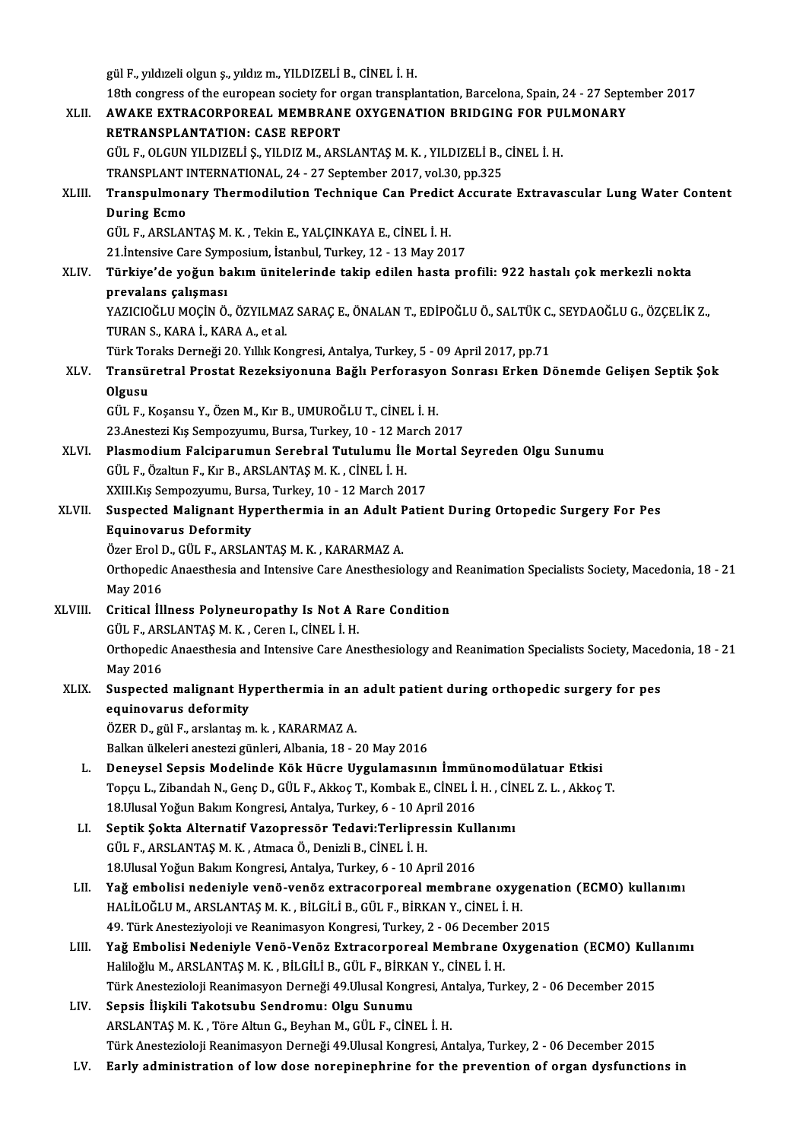|         | gül F., yıldızeli olgun ş., yıldız m., YILDIZELİ B., CİNEL İ. H.                                                                                                        |
|---------|-------------------------------------------------------------------------------------------------------------------------------------------------------------------------|
|         | 18th congress of the european society for organ transplantation, Barcelona, Spain, 24 - 27 September 2017                                                               |
| XLII.   | AWAKE EXTRACORPOREAL MEMBRANE OXYGENATION BRIDGING FOR PULMONARY                                                                                                        |
|         | RETRANSPLANTATION: CASE REPORT                                                                                                                                          |
|         | GÜL F., OLGUN YILDIZELİ Ş., YILDIZ M., ARSLANTAŞ M. K. , YILDIZELİ B., CİNEL İ. H.                                                                                      |
|         | TRANSPLANT INTERNATIONAL, 24 - 27 September 2017, vol.30, pp.325                                                                                                        |
| XLIII.  | Transpulmonary Thermodilution Technique Can Predict Accurate Extravascular Lung Water Content                                                                           |
|         | <b>During Ecmo</b>                                                                                                                                                      |
|         | GÜL F., ARSLANTAŞ M. K., Tekin E., YALÇINKAYA E., CİNEL İ. H.                                                                                                           |
|         | 21. Intensive Care Symposium, İstanbul, Turkey, 12 - 13 May 2017                                                                                                        |
| XLIV.   | Türkiye'de yoğun bakım ünitelerinde takip edilen hasta profili: 922 hastalı çok merkezli nokta                                                                          |
|         | prevalans çalışması                                                                                                                                                     |
|         | YAZICIOĞLU MOÇİN Ö., ÖZYILMAZ SARAÇ E., ÖNALAN T., EDİPOĞLU Ö., SALTÜK C., SEYDAOĞLU G., ÖZÇELİK Z.,                                                                    |
|         | TURAN S., KARA I., KARA A., et al.                                                                                                                                      |
|         | Türk Toraks Derneği 20. Yıllık Kongresi, Antalya, Turkey, 5 - 09 April 2017, pp.71                                                                                      |
| XLV.    | Transüretral Prostat Rezeksiyonuna Bağlı Perforasyon Sonrası Erken Dönemde Gelişen Septik Şok                                                                           |
|         | Olgusu                                                                                                                                                                  |
|         | GÜL F., Koşansu Y., Özen M., Kır B., UMUROĞLU T., CİNEL İ. H.                                                                                                           |
|         | 23.Anestezi Kış Sempozyumu, Bursa, Turkey, 10 - 12 March 2017                                                                                                           |
| XLVI.   | Plasmodium Falciparumun Serebral Tutulumu İle Mortal Seyreden Olgu Sunumu                                                                                               |
|         | GÜL F., Özaltun F., Kır B., ARSLANTAŞ M. K., CİNEL İ. H.                                                                                                                |
|         | XXIII.Kış Sempozyumu, Bursa, Turkey, 10 - 12 March 2017                                                                                                                 |
| XLVII.  | Suspected Malignant Hyperthermia in an Adult Patient During Ortopedic Surgery For Pes                                                                                   |
|         | <b>Equinovarus Deformity</b>                                                                                                                                            |
|         | Özer Erol D., GÜL F., ARSLANTAŞ M. K., KARARMAZ A.                                                                                                                      |
|         | Orthopedic Anaesthesia and Intensive Care Anesthesiology and Reanimation Specialists Society, Macedonia, 18 - 21                                                        |
|         | May 2016                                                                                                                                                                |
| XLVIII. | Critical İllness Polyneuropathy Is Not A Rare Condition                                                                                                                 |
|         | GÜL F., ARSLANTAS M. K., Ceren I., CİNEL I. H.                                                                                                                          |
|         | Orthopedic Anaesthesia and Intensive Care Anesthesiology and Reanimation Specialists Society, Macedonia, 18 - 21                                                        |
|         | May 2016                                                                                                                                                                |
| XLIX.   | Suspected malignant Hyperthermia in an adult patient during orthopedic surgery for pes                                                                                  |
|         | equinovarus deformity                                                                                                                                                   |
|         | ÖZER D., gül F., arslantaş m. k., KARARMAZ A.                                                                                                                           |
|         | Balkan ülkeleri anestezi günleri, Albania, 18 - 20 May 2016                                                                                                             |
| L.      | Deneysel Sepsis Modelinde Kök Hücre Uygulamasının İmmünomodülatuar Etkisi                                                                                               |
|         | Topçu L., Zibandah N., Genç D., GÜL F., Akkoç T., Kombak E., CİNEL İ. H., CİNEL Z. L., Akkoç T.                                                                         |
|         | 18. Ulusal Yoğun Bakım Kongresi, Antalya, Turkey, 6 - 10 April 2016                                                                                                     |
| LI.     | Septik Şokta Alternatif Vazopressör Tedavi:Terlipressin Kullanımı                                                                                                       |
|         | GÜL F., ARSLANTAȘ M. K., Atmaca Ö., Denizli B., CİNEL İ. H.                                                                                                             |
|         | 18. Ulusal Yoğun Bakım Kongresi, Antalya, Turkey, 6 - 10 April 2016                                                                                                     |
| LII.    | Yağ embolisi nedeniyle venö-venöz extracorporeal membrane oxygenation (ECMO) kullanımı                                                                                  |
|         | HALİLOĞLU M., ARSLANTAŞ M. K., BİLGİLİ B., GÜL F., BİRKAN Y., CİNEL İ. H.                                                                                               |
|         | 49. Türk Anesteziyoloji ve Reanimasyon Kongresi, Turkey, 2 - 06 December 2015<br>Yağ Embolisi Nedeniyle Venö-Venöz Extracorporeal Membrane Oxygenation (ECMO) Kullanımı |
| LIII.   | Haliloğlu M., ARSLANTAŞ M. K., BİLGİLİ B., GÜL F., BİRKAN Y., CİNEL İ. H.                                                                                               |
|         | Türk Anestezioloji Reanimasyon Derneği 49. Ulusal Kongresi, Antalya, Turkey, 2 - 06 December 2015                                                                       |
| LIV.    | Sepsis İlişkili Takotsubu Sendromu: Olgu Sunumu                                                                                                                         |
|         | ARSLANTAŞ M. K., Töre Altun G., Beyhan M., GÜL F., CİNEL İ. H.                                                                                                          |
|         | Türk Anestezioloji Reanimasyon Derneği 49.Ulusal Kongresi, Antalya, Turkey, 2 - 06 December 2015                                                                        |
| LV.     | Early administration of low dose norepinephrine for the prevention of organ dysfunctions in                                                                             |
|         |                                                                                                                                                                         |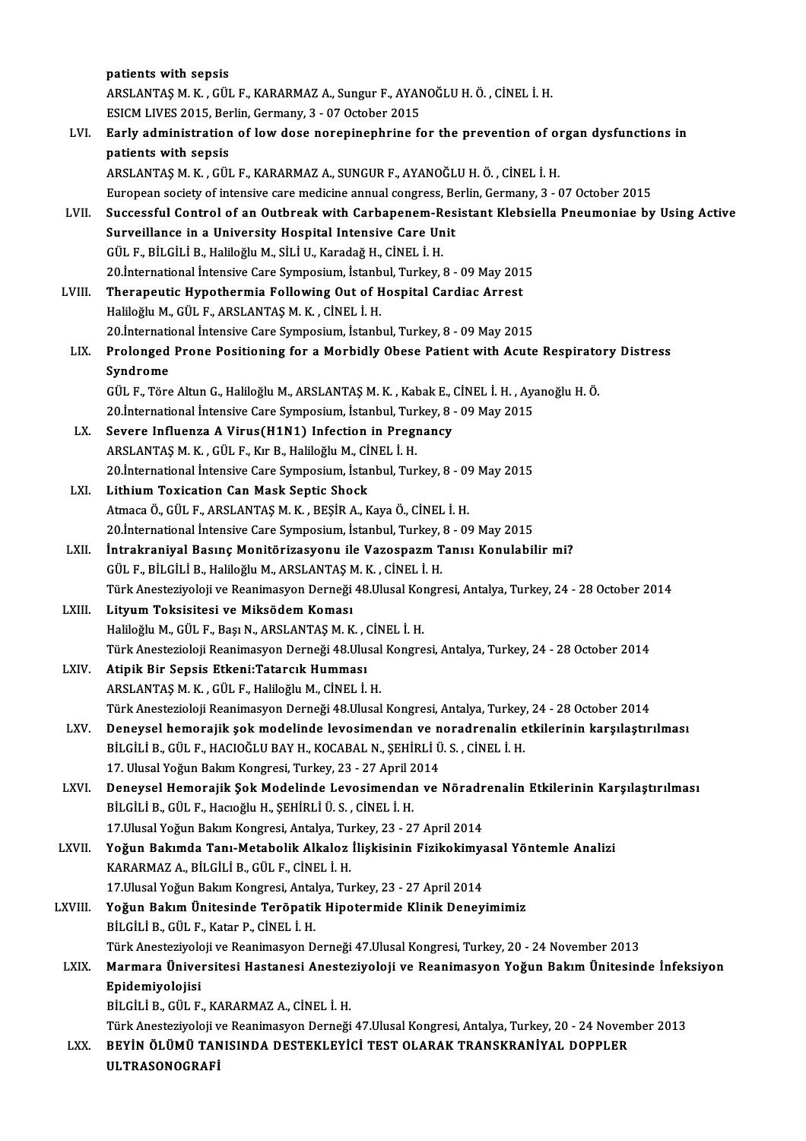|         | patients with sepsis                                                                                                                                                      |
|---------|---------------------------------------------------------------------------------------------------------------------------------------------------------------------------|
|         | ARSLANTAŞ M. K., GÜL F., KARARMAZ A., Sungur F., AYANOĞLU H. Ö., CİNEL İ. H.                                                                                              |
|         | ESICM LIVES 2015, Berlin, Germany, 3 - 07 October 2015                                                                                                                    |
| LVI.    | Early administration of low dose norepinephrine for the prevention of organ dysfunctions in                                                                               |
|         | patients with sepsis                                                                                                                                                      |
|         | ARSLANTAŞ M. K., GÜL F., KARARMAZ A., SUNGUR F., AYANOĞLU H. Ö., CİNEL İ. H.                                                                                              |
|         | European society of intensive care medicine annual congress, Berlin, Germany, 3 - 07 October 2015                                                                         |
| LVII.   | Successful Control of an Outbreak with Carbapenem-Resistant Klebsiella Pneumoniae by Using Active                                                                         |
|         | Surveillance in a University Hospital Intensive Care Unit                                                                                                                 |
|         | GÜL F., BİLGİLİ B., Haliloğlu M., SİLİ U., Karadağ H., CİNEL İ. H.                                                                                                        |
|         | 20 International Intensive Care Symposium, Istanbul, Turkey, 8 - 09 May 2015                                                                                              |
| LVIII.  | Therapeutic Hypothermia Following Out of Hospital Cardiac Arrest                                                                                                          |
|         | Haliloğlu M., GÜL F., ARSLANTAŞ M. K., CİNEL İ. H.                                                                                                                        |
| LIX.    | 20. International Intensive Care Symposium, Istanbul, Turkey, 8 - 09 May 2015<br>Prolonged Prone Positioning for a Morbidly Obese Patient with Acute Respiratory Distress |
|         | Syndrome                                                                                                                                                                  |
|         | GÜL F., Töre Altun G., Haliloğlu M., ARSLANTAŞ M. K., Kabak E., CİNEL İ. H., Ayanoğlu H. Ö.                                                                               |
|         | 20. International Intensive Care Symposium, Istanbul, Turkey, 8 - 09 May 2015                                                                                             |
| LX.     | Severe Influenza A Virus(H1N1) Infection in Pregnancy                                                                                                                     |
|         | ARSLANTAȘ M. K., GÜL F., Kır B., Haliloğlu M., CİNEL İ. H.                                                                                                                |
|         | 20. International Intensive Care Symposium, Istanbul, Turkey, 8 - 09 May 2015                                                                                             |
| LXI.    | Lithium Toxication Can Mask Septic Shock                                                                                                                                  |
|         | Atmaca Ö., GÜL F., ARSLANTAŞ M. K., BEŞİR A., Kaya Ö., CİNEL İ. H.                                                                                                        |
|         | 20. International Intensive Care Symposium, Istanbul, Turkey, 8 - 09 May 2015                                                                                             |
| LXII.   | İntrakraniyal Basınç Monitörizasyonu ile Vazospazm Tanısı Konulabilir mi?                                                                                                 |
|         | GÜL F., BİLGİLİ B., Haliloğlu M., ARSLANTAŞ M. K., CİNEL İ. H.                                                                                                            |
|         | Türk Anesteziyoloji ve Reanimasyon Derneği 48.Ulusal Kongresi, Antalya, Turkey, 24 - 28 October 2014                                                                      |
| LXIII.  | Lityum Toksisitesi ve Miksödem Koması                                                                                                                                     |
|         | Haliloğlu M., GÜL F., Başı N., ARSLANTAŞ M. K., CİNEL İ. H.<br>Türk Anestezioloji Reanimasyon Derneği 48 Ulusal Kongresi, Antalya, Turkey, 24 - 28 October 2014           |
| LXIV.   | Atipik Bir Sepsis Etkeni: Tatarcık Humması                                                                                                                                |
|         | ARSLANTAȘ M. K., GÜL F., Haliloğlu M., CİNEL İ. H.                                                                                                                        |
|         | Türk Anestezioloji Reanimasyon Derneği 48.Ulusal Kongresi, Antalya, Turkey, 24 - 28 October 2014                                                                          |
| LXV.    | Deneysel hemorajik şok modelinde levosimendan ve noradrenalin etkilerinin karşılaştırılması                                                                               |
|         | BİLGİLİ B., GÜL F., HACIOĞLU BAY H., KOCABAL N., ŞEHİRLİ Ü. S., CİNEL İ. H.                                                                                               |
|         | 17. Ulusal Yoğun Bakım Kongresi, Turkey, 23 - 27 April 2014                                                                                                               |
| LXVI.   | Deneysel Hemorajik Şok Modelinde Levosimendan ve Nöradrenalin Etkilerinin Karşılaştırılması                                                                               |
|         | BİLGİLİ B., GÜL F., Hacıoğlu H., ŞEHİRLİ Ü. S., CİNEL İ. H.                                                                                                               |
|         | 17. Ulusal Yoğun Bakım Kongresi, Antalya, Turkey, 23 - 27 April 2014                                                                                                      |
| LXVII.  | Yoğun Bakımda Tanı-Metabolik Alkaloz İlişkisinin Fizikokimyasal Yöntemle Analizi                                                                                          |
|         | KARARMAZ A., BİLGİLİ B., GÜL F., CİNEL İ. H.                                                                                                                              |
|         | 17 Ulusal Yoğun Bakım Kongresi, Antalya, Turkey, 23 - 27 April 2014                                                                                                       |
| LXVIII. | Yoğun Bakım Ünitesinde Teröpatik Hipotermide Klinik Deneyimimiz                                                                                                           |
|         | BİLGİLİ B., GÜL F., Katar P., CİNEL İ. H.<br>Türk Anesteziyoloji ve Reanimasyon Derneği 47. Ulusal Kongresi, Turkey, 20 - 24 November 2013                                |
| LXIX.   | Marmara Üniversitesi Hastanesi Anesteziyoloji ve Reanimasyon Yoğun Bakım Ünitesinde İnfeksiyon                                                                            |
|         | Epidemiyolojisi                                                                                                                                                           |
|         | BİLGİLİ B., GÜL F., KARARMAZ A., CİNEL İ. H.                                                                                                                              |
|         | Türk Anesteziyoloji ve Reanimasyon Derneği 47.Ulusal Kongresi, Antalya, Turkey, 20 - 24 November 2013                                                                     |
| LXX.    | BEYİN ÖLÜMÜ TANISINDA DESTEKLEYİCİ TEST OLARAK TRANSKRANİYAL DOPPLER                                                                                                      |
|         | ULTRASONOGRAFİ                                                                                                                                                            |
|         |                                                                                                                                                                           |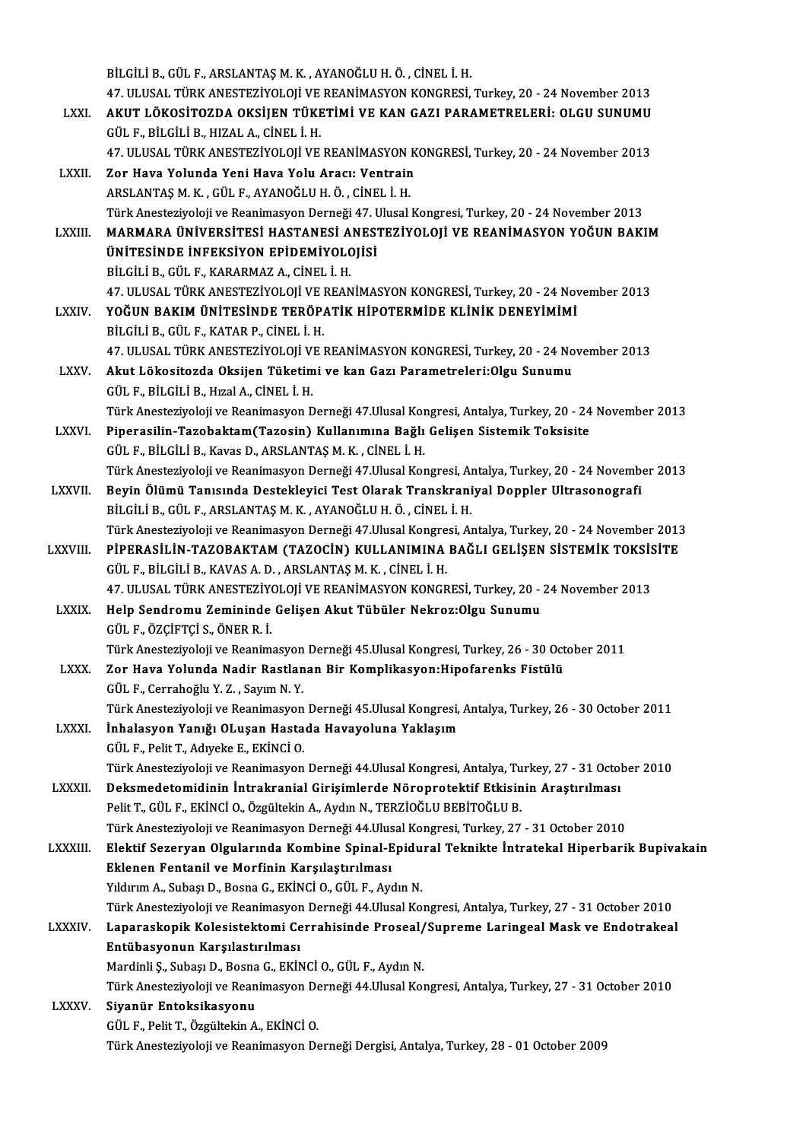BİLGİLİB.,GÜL F.,ARSLANTAŞM.K. ,AYANOĞLUH.Ö. ,CİNEL İ.H. 47.ULUSAL TÜRKANESTEZİYOLOJİVEREANİMASYONKONGRESİ,Turkey,20 -24November 2013 BİLGİLİ B., GÜL F., ARSLANTAŞ M. K. , AYANOĞLU H. Ö. , CİNEL İ. H.<br>47. ULUSAL TÜRK ANESTEZİYOLOJİ VE REANİMASYON KONGRESİ, Turkey, 20 - 24 November 2013<br>LXXI. AKUT LÖKOSİTOZDA OKSİJEN TÜKETİMİ VE KAN GAZI PARAMETRELERİ 47. ULUSAL TÜRK ANESTEZİYOLOJİ VE<br>**AKUT LÖKOSİTOZDA OKSİJEN TÜKE**<br>GÜL F., BİLGİLİ B., HIZAL A., CİNEL İ. H.<br>47. HUKAL TÜRK ANESTEZİYOLOJ VE AKUT LÖKOSİTOZDA OKSİJEN TÜKETİMİ VE KAN GAZI PARAMETRELERİ: OLGU SUNUMU<br>GÜL F., BİLGİLİ B., HIZAL A., CİNEL İ. H.<br>47. ULUSAL TÜRK ANESTEZİYOLOJİ VE REANİMASYON KONGRESİ, Turkey, 20 - 24 November 2013<br>Zor Hava Yolunda Yoni GÜL F., BİLGİLİ B., HIZAL A., CİNEL İ. H.<br>47. ULUSAL TÜRK ANESTEZİYOLOJİ VE REANİMASYON K<br>LXXII. 200 Hava Yolunda Yeni Hava Yolu Aracı: Ventrain 47. ULUSAL TÜRK ANESTEZİYOLOJİ VE REANİMASYON |<br>Zor Hava Yolunda Yeni Hava Yolu Aracı: Ventrain<br>ARSLANTAŞ M. K. , GÜL F., AYANOĞLU H. Ö. , CİNEL İ. H.<br>Türk Anesteriyoloji ve Beanimasyon Derneği 47. Ulusal | Zor Hava Yolunda Yeni Hava Yolu Aracı: Ventrain<br>ARSLANTAŞ M. K. , GÜL F., AYANOĞLU H. Ö. , CİNEL İ. H.<br>Türk Anesteziyoloji ve Reanimasyon Derneği 47. Ulusal Kongresi, Turkey, 20 - 24 November 2013 ARSLANTAŞ M. K. , GÜL F., AYANOĞLU H. Ö. , CİNEL İ. H.<br>Türk Anesteziyoloji ve Reanimasyon Derneği 47. Ulusal Kongresi, Turkey, 20 - 24 November 2013<br>LXXIII. MARMARA ÜNİVERSİTESİ HASTANESİ ANESTEZİYOLOJİ VE REANİMASYON Türk Anesteziyoloji ve Reanimasyon Derneği 47. l<br>MARMARA ÜNİVERSİTESİ HASTANESİ ANES<br>ÜNİTESİNDE İNFEKSİYON EPİDEMİYOLOJİSİ<br>PİLÇİLİ P. ÇÜLE, KARARMAZ A. ÇİNEL İ. H MARMARA ÜNİVERSİTESİ HASTANESİ A<br>ÜNİTESİNDE İNFEKSİYON EPİDEMİYOLO<br>BİLGİLİ B., GÜL F., KARARMAZ A., CİNEL İ. H.<br>47. HLUSAL TÜRK ANESTEZİYOLOU VE REAN **ÜNİTESİNDE İNFEKSİYON EPİDEMİYOLOJİSİ**<br>BİLGİLİ B., GÜL F., KARARMAZ A., CİNEL İ. H.<br>47. ULUSAL TÜRK ANESTEZİYOLOJİ VE REANİMASYON KONGRESİ, Turkey, 20 - 24 November 2013 BİLGİLİ B., GÜL F., KARARMAZ A., CİNEL İ. H.<br>47. ULUSAL TÜRK ANESTEZİYOLOJİ VE REANİMASYON KONGRESİ, Turkey, 20 - 24 Nov<br>LXXIV. YOĞUN BAKIM ÜNİTESİNDE TERÖPATİK HİPOTERMİDE KLİNİK DENEYİMİMİ 47. ULUSAL TÜRK ANESTEZİYOLOJİ VE I<br>**YOĞUN BAKIM ÜNİTESİNDE TERÖP.**<br>BİLGİLİ B., GÜL F., KATAR P., CİNEL İ. H.<br>47. ULUSAL TÜRK ANESTEZİYOLOU VE I BİLGİLİ B., GÜL F., KATAR P., CİNEL İ. H.<br>47. ULUSAL TÜRK ANESTEZİYOLOJİ VE REANİMASYON KONGRESİ, Turkey, 20 - 24 November 2013 BİLGİLİ B., GÜL F., KATAR P., CİNEL İ. H.<br>47. ULUSAL TÜRK ANESTEZİYOLOJİ VE REANİMASYON KONGRESİ, Turkey, 20 - 24 No<br>LXXV. Akut Lökositozda Oksijen Tüketimi ve kan Gazı Parametreleri:Olgu Sunumu 47. ULUSAL TÜRK ANESTEZİYOLOJİ V.<br>Akut Lökositozda Oksijen Tüketim<br>GÜL F., BİLGİLİ B., Hızal A., CİNEL İ. H.<br>Türk Anesteriyeleji ve Beanimesyon F. GÜL F., BİLGİLİ B., Hızal A., CİNEL İ. H.<br>Türk Anesteziyoloji ve Reanimasyon Derneği 47.Ulusal Kongresi, Antalya, Turkey, 20 - 24 November 2013 LXXVI. Piperasilin-Tazobaktam(Tazosin) Kullanımına Bağlı Gelişen Sistemik Toksisite GÜL F.,BİLGİLİB.,KavasD.,ARSLANTAŞM.K. ,CİNEL İ.H. Türk Anesteziyoloji ve Reanimasyon Derneği 47. Ulusal Kongresi, Antalya, Turkey, 20 - 24 November 2013 LXXVII. Beyin Ölümü Tanısında Destekleyici Test Olarak Transkraniyal Doppler Ultrasonografi BİLGİLİB.,GÜL F.,ARSLANTAŞM.K. ,AYANOĞLUH.Ö. ,CİNEL İ.H. Beyin Ölümü Tanısında Destekleyici Test Olarak Transkraniyal Doppler Ultrasonografi<br>BİLGİLİ B., GÜL F., ARSLANTAŞ M. K. , AYANOĞLU H. Ö. , CİNEL İ. H.<br>Türk Anesteziyoloji ve Reanimasyon Derneği 47.Ulusal Kongresi, Antalya, BİLGİLİ B., GÜL F., ARSLANTAŞ M. K. , AYANOĞLU H. Ö. , CİNEL İ. H.<br>Türk Anesteziyoloji ve Reanimasyon Derneği 47.Ulusal Kongresi, Antalya, Turkey, 20 - 24 November 2013<br>LXXVIII. PİPERASİLİN-TAZOBAKTAM (TAZOCİN) KULLANIMINA Türk Anesteziyoloji ve Reanimasyon Derneği 47.Ulusal Kongre<br>PİPERASİLİN-TAZOBAKTAM (TAZOCİN) KULLANIMINA<br>GÜL F., BİLGİLİ B., KAVAS A.D., ARSLANTAŞ M. K., CİNEL İ. H.<br>47. ULUSAL TÜRK ANESTEZIYOLOU VE REANIMASYON KONCR PİPERASİLİN-TAZOBAKTAM (TAZOCİN) KULLANIMINA BAĞLI GELİŞEN SİSTEMİK TOKSİSİTE<br>GÜL F., BİLGİLİ B., KAVAS A. D. , ARSLANTAŞ M. K. , CİNEL İ. H.<br>47. ULUSAL TÜRK ANESTEZİYOLOJİ VE REANİMASYON KONGRESİ, Turkey, 20 - 24 November LXXIX. Help Sendromu Zemininde Gelişen Akut Tübüler Nekroz:Olgu Sunumu GÜL F.,ÖZÇİFTÇİ S.,ÖNERR. İ. Help Sendromu Zemininde Gelişen Akut Tübüler Nekroz:Olgu Sunumu<br>GÜL F., ÖZÇİFTÇİ S., ÖNER R. İ.<br>Türk Anesteziyoloji ve Reanimasyon Derneği 45.Ulusal Kongresi, Turkey, 26 - 30 October 2011<br>Zen Have Yolunda Nadir Bestlanan B GÜL F., ÖZÇİFTÇİ S., ÖNER R. İ.<br>Türk Anesteziyoloji ve Reanimasyon Derneği 45.Ulusal Kongresi, Turkey, 26 - 30 Oct<br>LXXX. Zor Hava Yolunda Nadir Rastlanan Bir Komplikasyon:Hipofarenks Fistülü Türk Anesteziyoloji ve Reanimasyon<br>Zor Hava Yolunda Nadir Rastlan<br>GÜL F., Cerrahoğlu Y. Z. , Sayım N. Y.<br>Türk Anesteriyoloji ve Beanimasyon Zor Hava Yolunda Nadir Rastlanan Bir Komplikasyon:Hipofarenks Fistülü<br>GÜL F., Cerrahoğlu Y. Z. , Sayım N. Y.<br>Türk Anesteziyoloji ve Reanimasyon Derneği 45.Ulusal Kongresi, Antalya, Turkey, 26 - 30 October 2011<br>İnhalasyon Y GÜL F., Cerrahoğlu Y. Z. , Sayım N. Y.<br>Türk Anesteziyoloji ve Reanimasyon Derneği 45.Ulusal Kongresi,<br>LXXXI. İnhalasyon Yanığı OLuşan Hastada Havayoluna Yaklaşım Türk Anesteziyoloji ve Reanimasyon<br>İnhalasyon Yanığı OLuşan Hasta<br>GÜL F., Pelit T., Adıyeke E., EKİNCİ O.<br>Türk Anesteriyeleji ve Beanimasyon İnhalasyon Yanığı OLuşan Hastada Havayoluna Yaklaşım<br>GÜL F., Pelit T., Adıyeke E., EKİNCİ O.<br>Türk Anesteziyoloji ve Reanimasyon Derneği 44.Ulusal Kongresi, Antalya, Turkey, 27 - 31 October 2010 LXXXII. Deksmedetomidinin İntrakranial Girişimlerde Nöroprotektif Etkisinin Araştırılması Pelit T., GÜL F., EKİNCİ O., Özgültekin A., Aydın N., TERZİOĞLU BEBİTOĞLU B. Türk Anesteziyoloji ve Reanimasyon Derneği 44.Ulusal Kongresi, Turkey, 27 - 31 October 2010 Pelit T., GÜL F., EKİNCİ O., Özgültekin A., Aydın N., TERZİOĞLU BEBİTOĞLU B.<br>Türk Anesteziyoloji ve Reanimasyon Derneği 44.Ulusal Kongresi, Turkey, 27 - 31 October 2010<br>LXXXIII. Elektif Sezeryan Olgularında Kombine Spi Eklenen Fentanil ve Morfinin Karşılaştırılması<br>Yıldırım A., Subaşı D., Bosna G., EKİNCİ O., GÜL F., Aydın N. Elektif Sezeryan Olgularında Kombine Spinal-Epidu<br>Eklenen Fentanil ve Morfinin Karşılaştırılması<br>Yıldırım A., Subaşı D., Bosna G., EKİNCİ O., GÜL F., Aydın N.<br>Türk Anesteriyeleji ve Beanimasyon Derneği 44 Ulusal Ke <mark>Eklenen Fentanil ve Morfinin Karşılaştırılması</mark><br>Yıldırım A., Subaşı D., Bosna G., EKİNCİ O., GÜL F., Aydın N.<br>Türk Anesteziyoloji ve Reanimasyon Derneği 44.Ulusal Kongresi, Antalya, Turkey, 27 - 31 October 2010<br>Lanaraskon Yıldırım A., Subaşı D., Bosna G., EKİNCİ O., GÜL F., Aydın N.<br>Türk Anesteziyoloji ve Reanimasyon Derneği 44.Ulusal Kongresi, Antalya, Turkey, 27 - 31 October 2010<br>LXXXIV. Laparaskopik Kolesistektomi Cerrahisinde Prosea Türk Anesteziyoloji ve Reanimasyor<br>Laparaskopik Kolesistektomi Ce<br>Entübasyonun Karşılastırılması<br>Mardinli S. Subası D. Besna G. Ekib Laparaskopik Kolesistektomi Cerrahisinde Proseal/<br>Entübasyonun Karşılastırılması<br>Mardinli Ş., Subaşı D., Bosna G., EKİNCİ O., GÜL F., Aydın N.<br>Türk Anesteriyeleji ve Beanimesyon Denneği 44 Ulusal Keı Entübasyonun Karşılastırılması<br>Mardinli Ş., Subaşı D., Bosna G., EKİNCİ O., GÜL F., Aydın N.<br>Türk Anesteziyoloji ve Reanimasyon Derneği 44.Ulusal Kongresi, Antalya, Turkey, 27 - 31 October 2010<br>Siyonün Entoksikosyonu Mardinli Ş., Subaşı D., Bosna G., EKİNCİ O., GÜL F., Aydın N.<br>Türk Anesteziyoloji ve Reanimasyon Derneği 44.Ulusal Kor<br>LXXXV. Siyanür Entoksikasyonu<br>GÜL F., Pelit T., Özgültekin A., EKİNCİ O. Türk Anesteziyoloji ve Reanimasyon De<br>Siyanür Entoksikasyonu<br>GÜL F., Pelit T., Özgültekin A., EKİNCİ O.<br>Türk Anesteriyoloji ve Beanimasyon De Türk Anesteziyoloji ve Reanimasyon Derneği Dergisi, Antalya, Turkey, 28 - 01 October 2009